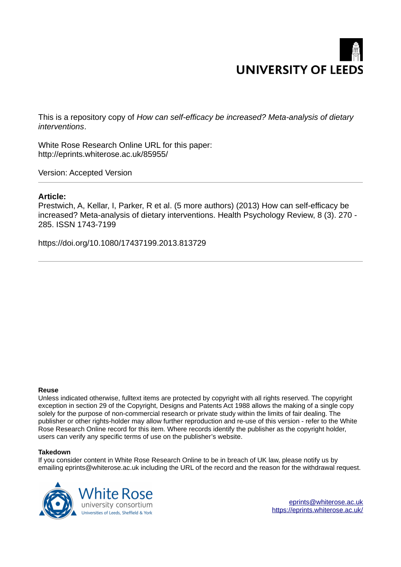# **UNIVERSITY OF LEEDS**

This is a repository copy of *How can self-efficacy be increased? Meta-analysis of dietary interventions*.

White Rose Research Online URL for this paper: http://eprints.whiterose.ac.uk/85955/

Version: Accepted Version

## **Article:**

Prestwich, A, Kellar, I, Parker, R et al. (5 more authors) (2013) How can self-efficacy be increased? Meta-analysis of dietary interventions. Health Psychology Review, 8 (3). 270 - 285. ISSN 1743-7199

https://doi.org/10.1080/17437199.2013.813729

#### **Reuse**

Unless indicated otherwise, fulltext items are protected by copyright with all rights reserved. The copyright exception in section 29 of the Copyright, Designs and Patents Act 1988 allows the making of a single copy solely for the purpose of non-commercial research or private study within the limits of fair dealing. The publisher or other rights-holder may allow further reproduction and re-use of this version - refer to the White Rose Research Online record for this item. Where records identify the publisher as the copyright holder, users can verify any specific terms of use on the publisher's website.

#### **Takedown**

If you consider content in White Rose Research Online to be in breach of UK law, please notify us by emailing eprints@whiterose.ac.uk including the URL of the record and the reason for the withdrawal request.

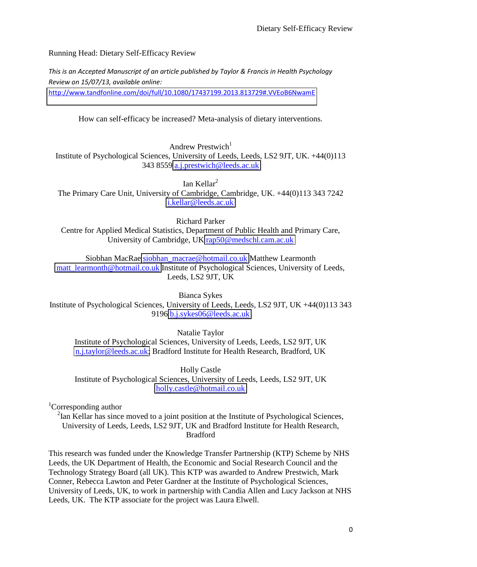Running Head: Dietary Self-Efficacy Review

*This is an Accepted Manuscript of an article published by Taylor & Francis in Health Psychology Review on 15/07/13, available online:* 

<http://www.tandfonline.com/doi/full/10.1080/17437199.2013.813729#.VVEoB6NwamE>

How can self-efficacy be increased? Meta-analysis of dietary interventions.

Andrew Prestwich $1$ 

Institute of Psychological Sciences, University of Leeds, Leeds, LS2 9JT, UK. +44(0)113 343 8559 [a.j.prestwich@leeds.ac.uk](mailto:a.j.prestwich@leeds.ac.uk) 

Ian Kellar $<sup>2</sup>$ </sup>

The Primary Care Unit, University of Cambridge, Cambridge, UK. +44(0)113 343 7242 [i.kellar@leeds.ac.uk](mailto:i.kellar@leeds.ac.uk)

Richard Parker

Centre for Applied Medical Statistics, Department of Public Health and Primary Care, University of Cambridge, UK [rap50@medschl.cam.ac.uk](mailto:rap50@medschl.cam.ac.uk) 

Siobhan MacRae [siobhan\\_macrae@hotmail.co.uk](mailto:siobhan_macrae@hotmail.co.uk) Matthew Learmonth

matt learmonth@hotmail.co.uk Institute of Psychological Sciences, University of Leeds, Leeds, LS2 9JT, UK

Bianca Sykes

Institute of Psychological Sciences, University of Leeds, Leeds, LS2 9JT, UK +44(0)113 343 9196 [b.j.sykes06@leeds.ac.uk](mailto:b.j.sykes06@leeds.ac.uk) 

Natalie Taylor

Institute of Psychological Sciences, University of Leeds, Leeds, LS2 9JT, UK [n.j.taylor@leeds.ac.uk;](mailto:n.j.taylor@leeds.ac.uk) Bradford Institute for Health Research, Bradford, UK

Holly Castle Institute of Psychological Sciences, University of Leeds, Leeds, LS2 9JT, UK [holly.castle@hotmail.co.uk](mailto:holly.castle@hotmail.co.uk) 

<sup>1</sup>Corresponding author

 $2$ Ian Kellar has since moved to a joint position at the Institute of Psychological Sciences, University of Leeds, Leeds, LS2 9JT, UK and Bradford Institute for Health Research, Bradford

This research was funded under the Knowledge Transfer Partnership (KTP) Scheme by NHS Leeds, the UK Department of Health, the Economic and Social Research Council and the Technology Strategy Board (all UK). This KTP was awarded to Andrew Prestwich, Mark Conner, Rebecca Lawton and Peter Gardner at the Institute of Psychological Sciences, University of Leeds, UK, to work in partnership with Candia Allen and Lucy Jackson at NHS Leeds, UK. The KTP associate for the project was Laura Elwell.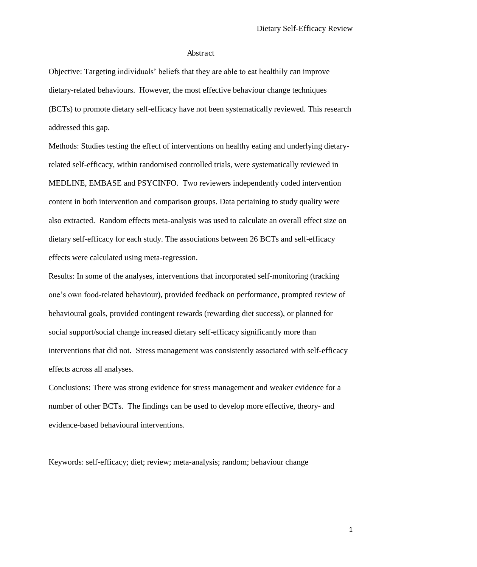#### Abstract

Objective: Targeting individuals' beliefs that they are able to eat healthily can improve dietary-related behaviours. However, the most effective behaviour change techniques (BCTs) to promote dietary self-efficacy have not been systematically reviewed. This research addressed this gap.

Methods: Studies testing the effect of interventions on healthy eating and underlying dietaryrelated self-efficacy, within randomised controlled trials, were systematically reviewed in MEDLINE, EMBASE and PSYCINFO. Two reviewers independently coded intervention content in both intervention and comparison groups. Data pertaining to study quality were also extracted. Random effects meta-analysis was used to calculate an overall effect size on dietary self-efficacy for each study. The associations between 26 BCTs and self-efficacy effects were calculated using meta-regression.

Results: In some of the analyses, interventions that incorporated self-monitoring (tracking one's own food-related behaviour), provided feedback on performance, prompted review of behavioural goals, provided contingent rewards (rewarding diet success), or planned for social support/social change increased dietary self-efficacy significantly more than interventions that did not. Stress management was consistently associated with self-efficacy effects across all analyses.

Conclusions: There was strong evidence for stress management and weaker evidence for a number of other BCTs. The findings can be used to develop more effective, theory- and evidence-based behavioural interventions.

Keywords: self-efficacy; diet; review; meta-analysis; random; behaviour change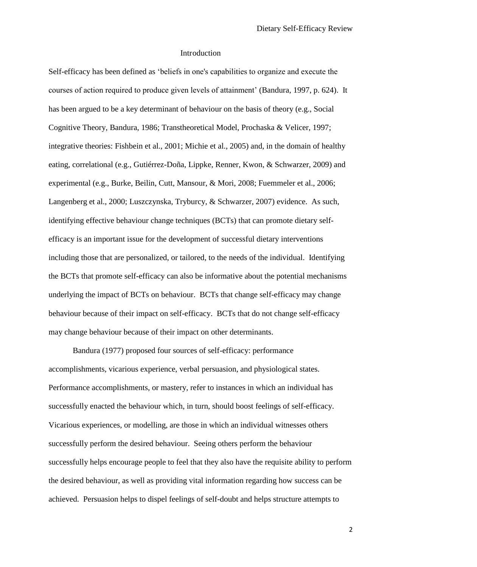#### Introduction

Self-efficacy has been defined as 'beliefs in one's capabilities to organize and execute the courses of action required to produce given levels of attainment' (Bandura, 1997, p. 624). It has been argued to be a key determinant of behaviour on the basis of theory (e.g., Social Cognitive Theory, Bandura, 1986; Transtheoretical Model, Prochaska & Velicer, 1997; integrative theories: Fishbein et al., 2001; Michie et al., 2005) and, in the domain of healthy eating, correlational (e.g., Gutiérrez-Doña, Lippke, Renner, Kwon, & Schwarzer, 2009) and experimental (e.g., Burke, Beilin, Cutt, Mansour, & Mori, 2008; Fuemmeler et al., 2006; Langenberg et al., 2000; Luszczynska, Tryburcy, & Schwarzer, 2007) evidence. As such, identifying effective behaviour change techniques (BCTs) that can promote dietary selfefficacy is an important issue for the development of successful dietary interventions including those that are personalized, or tailored, to the needs of the individual. Identifying the BCTs that promote self-efficacy can also be informative about the potential mechanisms underlying the impact of BCTs on behaviour. BCTs that change self-efficacy may change behaviour because of their impact on self-efficacy. BCTs that do not change self-efficacy may change behaviour because of their impact on other determinants.

Bandura (1977) proposed four sources of self-efficacy: performance accomplishments, vicarious experience, verbal persuasion, and physiological states. Performance accomplishments, or mastery, refer to instances in which an individual has successfully enacted the behaviour which, in turn, should boost feelings of self-efficacy. Vicarious experiences, or modelling, are those in which an individual witnesses others successfully perform the desired behaviour. Seeing others perform the behaviour successfully helps encourage people to feel that they also have the requisite ability to perform the desired behaviour, as well as providing vital information regarding how success can be achieved. Persuasion helps to dispel feelings of self-doubt and helps structure attempts to

2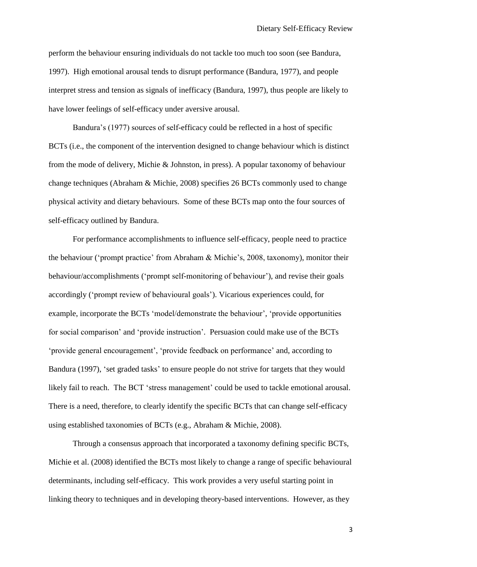perform the behaviour ensuring individuals do not tackle too much too soon (see Bandura, 1997). High emotional arousal tends to disrupt performance (Bandura, 1977), and people interpret stress and tension as signals of inefficacy (Bandura, 1997), thus people are likely to have lower feelings of self-efficacy under aversive arousal.

Bandura's (1977) sources of self-efficacy could be reflected in a host of specific BCTs (i.e., the component of the intervention designed to change behaviour which is distinct from the mode of delivery, Michie & Johnston, in press). A popular taxonomy of behaviour change techniques (Abraham & Michie, 2008) specifies 26 BCTs commonly used to change physical activity and dietary behaviours. Some of these BCTs map onto the four sources of self-efficacy outlined by Bandura.

For performance accomplishments to influence self-efficacy, people need to practice the behaviour ('prompt practice' from Abraham & Michie's, 2008, taxonomy), monitor their behaviour/accomplishments ('prompt self-monitoring of behaviour'), and revise their goals accordingly ('prompt review of behavioural goals'). Vicarious experiences could, for example, incorporate the BCTs 'model/demonstrate the behaviour', 'provide opportunities for social comparison' and 'provide instruction'. Persuasion could make use of the BCTs 'provide general encouragement', 'provide feedback on performance' and, according to Bandura (1997), 'set graded tasks' to ensure people do not strive for targets that they would likely fail to reach. The BCT 'stress management' could be used to tackle emotional arousal. There is a need, therefore, to clearly identify the specific BCTs that can change self-efficacy using established taxonomies of BCTs (e.g., Abraham & Michie, 2008).

Through a consensus approach that incorporated a taxonomy defining specific BCTs, Michie et al. (2008) identified the BCTs most likely to change a range of specific behavioural determinants, including self-efficacy. This work provides a very useful starting point in linking theory to techniques and in developing theory-based interventions. However, as they

3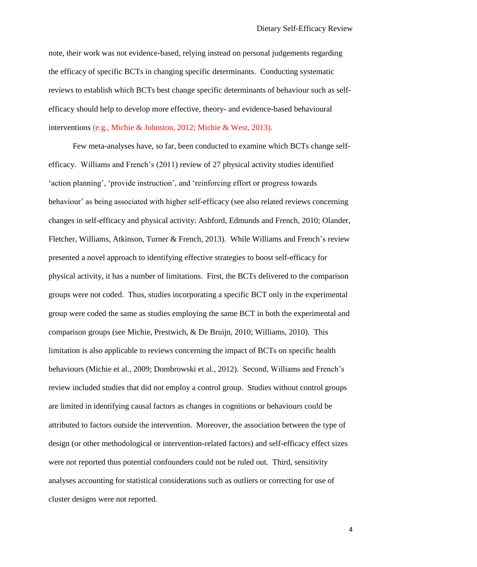note, their work was not evidence-based, relying instead on personal judgements regarding the efficacy of specific BCTs in changing specific determinants. Conducting systematic reviews to establish which BCTs best change specific determinants of behaviour such as selfefficacy should help to develop more effective, theory- and evidence-based behavioural interventions (e.g., Michie & Johnston, 2012; Michie & West, 2013).

Few meta-analyses have, so far, been conducted to examine which BCTs change selfefficacy. Williams and French's (2011) review of 27 physical activity studies identified 'action planning', 'provide instruction', and 'reinforcing effort or progress towards behaviour' as being associated with higher self-efficacy (see also related reviews concerning changes in self-efficacy and physical activity: Ashford, Edmunds and French, 2010; Olander, Fletcher, Williams, Atkinson, Turner & French, 2013). While Williams and French's review presented a novel approach to identifying effective strategies to boost self-efficacy for physical activity, it has a number of limitations. First, the BCTs delivered to the comparison groups were not coded. Thus, studies incorporating a specific BCT only in the experimental group were coded the same as studies employing the same BCT in both the experimental and comparison groups (see Michie, Prestwich, & De Bruijn, 2010; Williams, 2010). This limitation is also applicable to reviews concerning the impact of BCTs on specific health behaviours (Michie et al., 2009; Dombrowski et al., 2012). Second, Williams and French's review included studies that did not employ a control group. Studies without control groups are limited in identifying causal factors as changes in cognitions or behaviours could be attributed to factors outside the intervention. Moreover, the association between the type of design (or other methodological or intervention-related factors) and self-efficacy effect sizes were not reported thus potential confounders could not be ruled out. Third, sensitivity analyses accounting for statistical considerations such as outliers or correcting for use of cluster designs were not reported.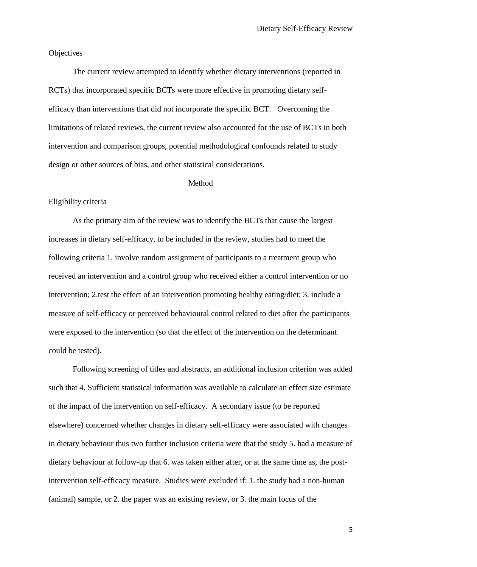**Objectives** 

The current review attempted to identify whether dietary interventions (reported in RCTs) that incorporated specific BCTs were more effective in promoting dietary selfefficacy than interventions that did not incorporate the specific BCT. Overcoming the limitations of related reviews, the current review also accounted for the use of BCTs in both intervention and comparison groups, potential methodological confounds related to study design or other sources of bias, and other statistical considerations.

#### Method

#### Eligibility criteria

As the primary aim of the review was to identify the BCTs that cause the largest increases in dietary self-efficacy, to be included in the review, studies had to meet the following criteria 1. involve random assignment of participants to a treatment group who received an intervention and a control group who received either a control intervention or no intervention; 2.test the effect of an intervention promoting healthy eating/diet; 3. include a measure of self-efficacy or perceived behavioural control related to diet after the participants were exposed to the intervention (so that the effect of the intervention on the determinant could be tested).

Following screening of titles and abstracts, an additional inclusion criterion was added such that 4. Sufficient statistical information was available to calculate an effect size estimate of the impact of the intervention on self-efficacy. A secondary issue (to be reported elsewhere) concerned whether changes in dietary self-efficacy were associated with changes in dietary behaviour thus two further inclusion criteria were that the study 5. had a measure of dietary behaviour at follow-up that 6. was taken either after, or at the same time as, the postintervention self-efficacy measure. Studies were excluded if: 1. the study had a non-human (animal) sample, or 2. the paper was an existing review, or 3. the main focus of the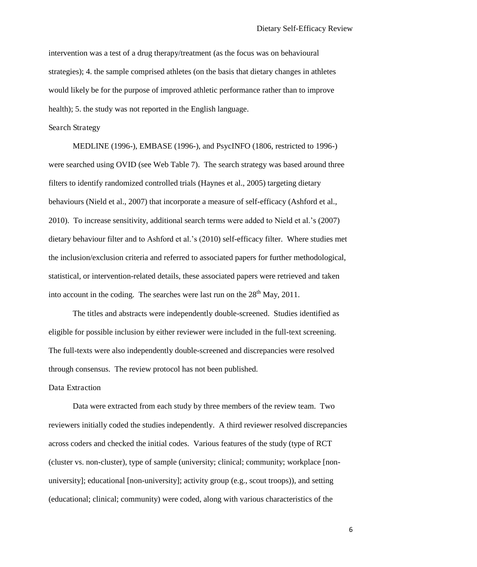intervention was a test of a drug therapy/treatment (as the focus was on behavioural strategies); 4. the sample comprised athletes (on the basis that dietary changes in athletes would likely be for the purpose of improved athletic performance rather than to improve health); 5. the study was not reported in the English language.

Search Strategy

MEDLINE (1996-), EMBASE (1996-), and PsycINFO (1806, restricted to 1996-) were searched using OVID (see Web Table 7). The search strategy was based around three filters to identify randomized controlled trials (Haynes et al., 2005) targeting dietary behaviours (Nield et al., 2007) that incorporate a measure of self-efficacy (Ashford et al., 2010). To increase sensitivity, additional search terms were added to Nield et al.'s (2007) dietary behaviour filter and to Ashford et al.'s (2010) self-efficacy filter. Where studies met the inclusion/exclusion criteria and referred to associated papers for further methodological, statistical, or intervention-related details, these associated papers were retrieved and taken into account in the coding. The searches were last run on the  $28<sup>th</sup>$  May, 2011.

The titles and abstracts were independently double-screened. Studies identified as eligible for possible inclusion by either reviewer were included in the full-text screening. The full-texts were also independently double-screened and discrepancies were resolved through consensus. The review protocol has not been published.

#### Data Extraction

Data were extracted from each study by three members of the review team. Two reviewers initially coded the studies independently. A third reviewer resolved discrepancies across coders and checked the initial codes. Various features of the study (type of RCT (cluster vs. non-cluster), type of sample (university; clinical; community; workplace [nonuniversity]; educational [non-university]; activity group (e.g., scout troops)), and setting (educational; clinical; community) were coded, along with various characteristics of the

6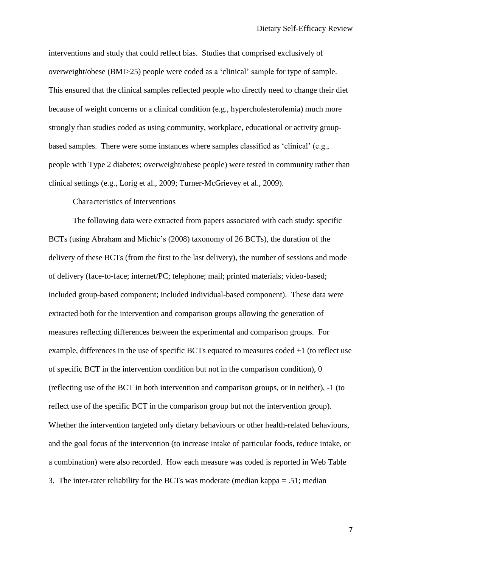interventions and study that could reflect bias. Studies that comprised exclusively of overweight/obese (BMI>25) people were coded as a 'clinical' sample for type of sample. This ensured that the clinical samples reflected people who directly need to change their diet because of weight concerns or a clinical condition (e.g., hypercholesterolemia) much more strongly than studies coded as using community, workplace, educational or activity groupbased samples. There were some instances where samples classified as 'clinical' (e.g., people with Type 2 diabetes; overweight/obese people) were tested in community rather than clinical settings (e.g., Lorig et al., 2009; Turner-McGrievey et al., 2009).

Characteristics of Interventions

The following data were extracted from papers associated with each study: specific BCTs (using Abraham and Michie's (2008) taxonomy of 26 BCTs), the duration of the delivery of these BCTs (from the first to the last delivery), the number of sessions and mode of delivery (face-to-face; internet/PC; telephone; mail; printed materials; video-based; included group-based component; included individual-based component). These data were extracted both for the intervention and comparison groups allowing the generation of measures reflecting differences between the experimental and comparison groups. For example, differences in the use of specific BCTs equated to measures coded +1 (to reflect use of specific BCT in the intervention condition but not in the comparison condition), 0 (reflecting use of the BCT in both intervention and comparison groups, or in neither), -1 (to reflect use of the specific BCT in the comparison group but not the intervention group). Whether the intervention targeted only dietary behaviours or other health-related behaviours, and the goal focus of the intervention (to increase intake of particular foods, reduce intake, or a combination) were also recorded. How each measure was coded is reported in Web Table 3. The inter-rater reliability for the BCTs was moderate (median kappa = .51; median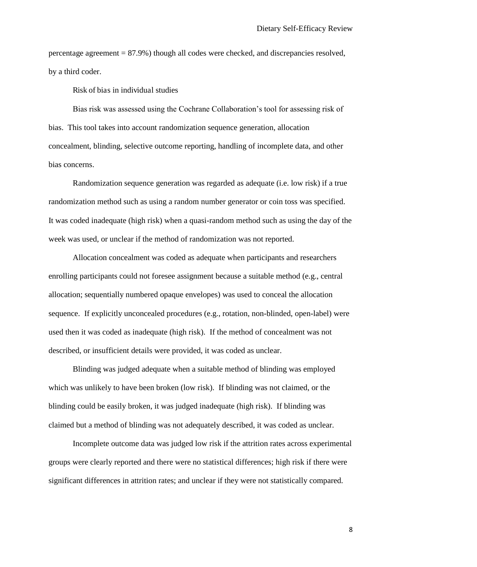percentage agreement = 87.9%) though all codes were checked, and discrepancies resolved, by a third coder.

Risk of bias in individual studies

Bias risk was assessed using the Cochrane Collaboration's tool for assessing risk of bias. This tool takes into account randomization sequence generation, allocation concealment, blinding, selective outcome reporting, handling of incomplete data, and other bias concerns.

Randomization sequence generation was regarded as adequate (i.e. low risk) if a true randomization method such as using a random number generator or coin toss was specified. It was coded inadequate (high risk) when a quasi-random method such as using the day of the week was used, or unclear if the method of randomization was not reported.

Allocation concealment was coded as adequate when participants and researchers enrolling participants could not foresee assignment because a suitable method (e.g., central allocation; sequentially numbered opaque envelopes) was used to conceal the allocation sequence. If explicitly unconcealed procedures (e.g., rotation, non-blinded, open-label) were used then it was coded as inadequate (high risk). If the method of concealment was not described, or insufficient details were provided, it was coded as unclear.

Blinding was judged adequate when a suitable method of blinding was employed which was unlikely to have been broken (low risk). If blinding was not claimed, or the blinding could be easily broken, it was judged inadequate (high risk). If blinding was claimed but a method of blinding was not adequately described, it was coded as unclear.

Incomplete outcome data was judged low risk if the attrition rates across experimental groups were clearly reported and there were no statistical differences; high risk if there were significant differences in attrition rates; and unclear if they were not statistically compared.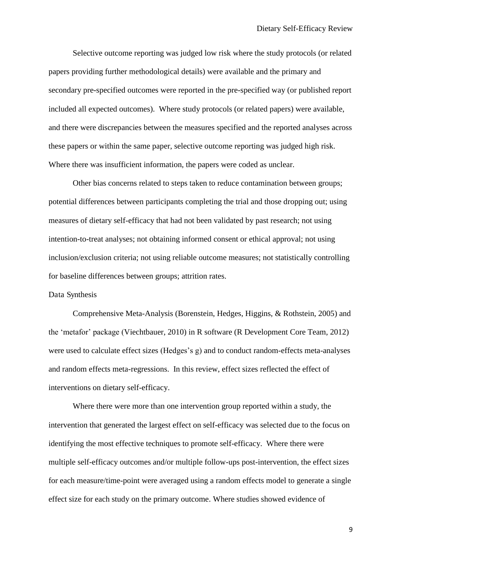Selective outcome reporting was judged low risk where the study protocols (or related papers providing further methodological details) were available and the primary and secondary pre-specified outcomes were reported in the pre-specified way (or published report included all expected outcomes). Where study protocols (or related papers) were available, and there were discrepancies between the measures specified and the reported analyses across these papers or within the same paper, selective outcome reporting was judged high risk. Where there was insufficient information, the papers were coded as unclear.

Other bias concerns related to steps taken to reduce contamination between groups; potential differences between participants completing the trial and those dropping out; using measures of dietary self-efficacy that had not been validated by past research; not using intention-to-treat analyses; not obtaining informed consent or ethical approval; not using inclusion/exclusion criteria; not using reliable outcome measures; not statistically controlling for baseline differences between groups; attrition rates.

#### Data Synthesis

Comprehensive Meta-Analysis (Borenstein, Hedges, Higgins, & Rothstein, 2005) and the 'metafor' package (Viechtbauer, 2010) in R software (R Development Core Team, 2012) were used to calculate effect sizes (Hedges's g) and to conduct random-effects meta-analyses and random effects meta-regressions. In this review, effect sizes reflected the effect of interventions on dietary self-efficacy.

Where there were more than one intervention group reported within a study, the intervention that generated the largest effect on self-efficacy was selected due to the focus on identifying the most effective techniques to promote self-efficacy. Where there were multiple self-efficacy outcomes and/or multiple follow-ups post-intervention, the effect sizes for each measure/time-point were averaged using a random effects model to generate a single effect size for each study on the primary outcome. Where studies showed evidence of

9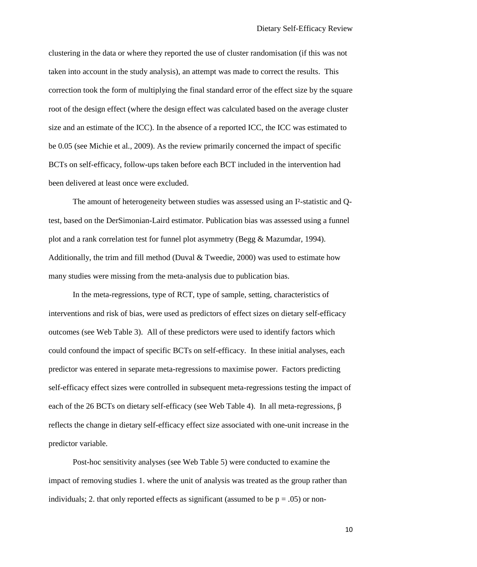clustering in the data or where they reported the use of cluster randomisation (if this was not taken into account in the study analysis), an attempt was made to correct the results. This correction took the form of multiplying the final standard error of the effect size by the square root of the design effect (where the design effect was calculated based on the average cluster size and an estimate of the ICC). In the absence of a reported ICC, the ICC was estimated to be 0.05 (see Michie et al., 2009). As the review primarily concerned the impact of specific BCTs on self-efficacy, follow-ups taken before each BCT included in the intervention had been delivered at least once were excluded.

The amount of heterogeneity between studies was assessed using an I²-statistic and Qtest, based on the DerSimonian-Laird estimator. Publication bias was assessed using a funnel plot and a rank correlation test for funnel plot asymmetry (Begg & Mazumdar, 1994). Additionally, the trim and fill method (Duval  $\&$  Tweedie, 2000) was used to estimate how many studies were missing from the meta-analysis due to publication bias.

In the meta-regressions, type of RCT, type of sample, setting, characteristics of interventions and risk of bias, were used as predictors of effect sizes on dietary self-efficacy outcomes (see Web Table 3). All of these predictors were used to identify factors which could confound the impact of specific BCTs on self-efficacy. In these initial analyses, each predictor was entered in separate meta-regressions to maximise power. Factors predicting self-efficacy effect sizes were controlled in subsequent meta-regressions testing the impact of each of the 26 BCTs on dietary self-efficacy (see Web Table 4). In all meta-regressions,  $\beta$ reflects the change in dietary self-efficacy effect size associated with one-unit increase in the predictor variable.

Post-hoc sensitivity analyses (see Web Table 5) were conducted to examine the impact of removing studies 1. where the unit of analysis was treated as the group rather than individuals; 2. that only reported effects as significant (assumed to be  $p = .05$ ) or non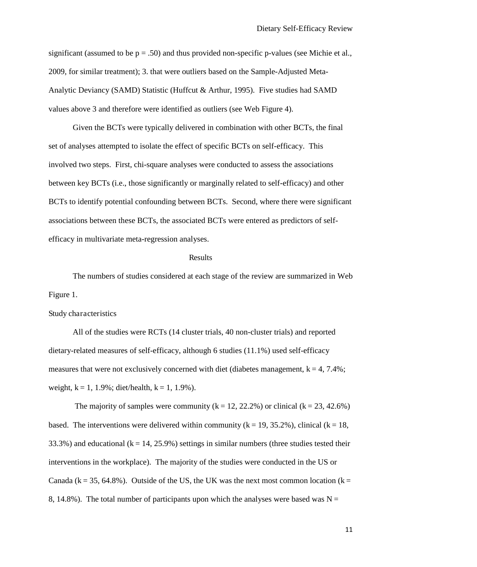significant (assumed to be  $p = .50$ ) and thus provided non-specific p-values (see Michie et al., 2009, for similar treatment); 3. that were outliers based on the Sample-Adjusted Meta-Analytic Deviancy (SAMD) Statistic (Huffcut & Arthur, 1995). Five studies had SAMD values above 3 and therefore were identified as outliers (see Web Figure 4).

Given the BCTs were typically delivered in combination with other BCTs, the final set of analyses attempted to isolate the effect of specific BCTs on self-efficacy. This involved two steps. First, chi-square analyses were conducted to assess the associations between key BCTs (i.e., those significantly or marginally related to self-efficacy) and other BCTs to identify potential confounding between BCTs. Second, where there were significant associations between these BCTs, the associated BCTs were entered as predictors of selfefficacy in multivariate meta-regression analyses.

#### **Results**

The numbers of studies considered at each stage of the review are summarized in Web Figure 1.

Study characteristics

All of the studies were RCTs (14 cluster trials, 40 non-cluster trials) and reported dietary-related measures of self-efficacy, although 6 studies (11.1%) used self-efficacy measures that were not exclusively concerned with diet (diabetes management,  $k = 4, 7.4\%$ ; weight,  $k = 1, 1.9\%$ ; diet/health,  $k = 1, 1.9\%$ ).

The majority of samples were community  $(k = 12, 22.2\%)$  or clinical  $(k = 23, 42.6\%)$ based. The interventions were delivered within community ( $k = 19, 35.2\%$ ), clinical ( $k = 18$ , 33.3%) and educational  $(k = 14, 25.9\%)$  settings in similar numbers (three studies tested their interventions in the workplace). The majority of the studies were conducted in the US or Canada ( $k = 35, 64.8\%$ ). Outside of the US, the UK was the next most common location ( $k =$ 8, 14.8%). The total number of participants upon which the analyses were based was  $N =$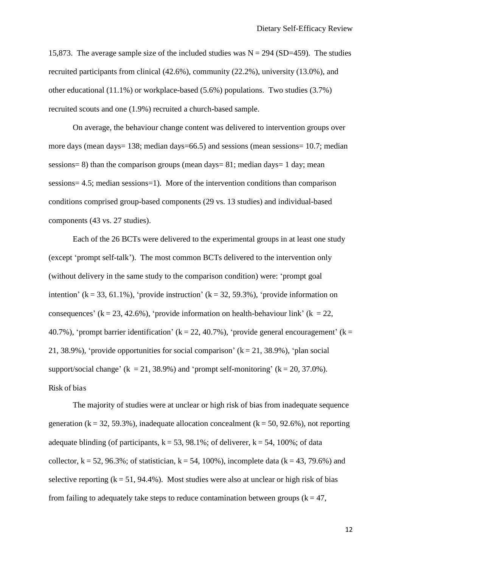15,873. The average sample size of the included studies was  $N = 294$  (SD=459). The studies recruited participants from clinical (42.6%), community (22.2%), university (13.0%), and other educational (11.1%) or workplace-based (5.6%) populations. Two studies (3.7%) recruited scouts and one (1.9%) recruited a church-based sample.

On average, the behaviour change content was delivered to intervention groups over more days (mean days= 138; median days=66.5) and sessions (mean sessions= 10.7; median sessions= 8) than the comparison groups (mean days= 81; median days= 1 day; mean sessions= 4.5; median sessions=1). More of the intervention conditions than comparison conditions comprised group-based components (29 vs. 13 studies) and individual-based components (43 vs. 27 studies).

Each of the 26 BCTs were delivered to the experimental groups in at least one study (except 'prompt self-talk'). The most common BCTs delivered to the intervention only (without delivery in the same study to the comparison condition) were: 'prompt goal intention' (k = 33, 61.1%), 'provide instruction' (k = 32, 59.3%), 'provide information on consequences' ( $k = 23, 42.6\%$ ), 'provide information on health-behaviour link' ( $k = 22$ , 40.7%), 'prompt barrier identification' ( $k = 22, 40.7$ %), 'provide general encouragement' ( $k = 1$ ) 21, 38.9%), 'provide opportunities for social comparison'  $(k = 21, 38.9\%)$ , 'plan social support/social change' ( $k = 21, 38.9\%$ ) and 'prompt self-monitoring' ( $k = 20, 37.0\%$ ). Risk of bias

The majority of studies were at unclear or high risk of bias from inadequate sequence generation ( $k = 32, 59.3\%$ ), inadequate allocation concealment ( $k = 50, 92.6\%$ ), not reporting adequate blinding (of participants,  $k = 53$ , 98.1%; of deliverer,  $k = 54$ , 100%; of data collector,  $k = 52, 96.3\%$ ; of statistician,  $k = 54, 100\%$ ), incomplete data ( $k = 43, 79.6\%$ ) and selective reporting  $(k = 51, 94.4\%)$ . Most studies were also at unclear or high risk of bias from failing to adequately take steps to reduce contamination between groups ( $k = 47$ ,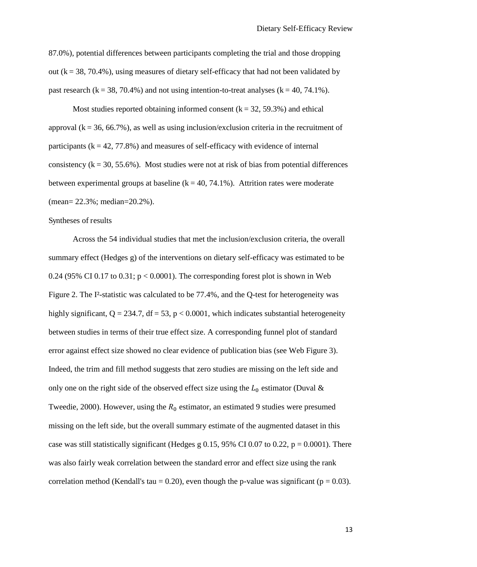87.0%), potential differences between participants completing the trial and those dropping out  $(k = 38, 70.4\%)$ , using measures of dietary self-efficacy that had not been validated by past research ( $k = 38, 70.4\%$ ) and not using intention-to-treat analyses ( $k = 40, 74.1\%$ ).

Most studies reported obtaining informed consent  $(k = 32, 59.3\%)$  and ethical approval  $(k = 36, 66.7\%)$ , as well as using inclusion/exclusion criteria in the recruitment of participants  $(k = 42, 77.8\%)$  and measures of self-efficacy with evidence of internal consistency  $(k = 30, 55.6\%)$ . Most studies were not at risk of bias from potential differences between experimental groups at baseline  $(k = 40, 74.1\%)$ . Attrition rates were moderate (mean= 22.3%; median=20.2%).

#### Syntheses of results

 Across the 54 individual studies that met the inclusion/exclusion criteria, the overall summary effect (Hedges g) of the interventions on dietary self-efficacy was estimated to be 0.24 (95% CI 0.17 to 0.31;  $p < 0.0001$ ). The corresponding forest plot is shown in Web Figure 2. The I<sup>2</sup>-statistic was calculated to be 77.4%, and the Q-test for heterogeneity was highly significant,  $Q = 234.7$ ,  $df = 53$ ,  $p < 0.0001$ , which indicates substantial heterogeneity between studies in terms of their true effect size. A corresponding funnel plot of standard error against effect size showed no clear evidence of publication bias (see Web Figure 3). Indeed, the trim and fill method suggests that zero studies are missing on the left side and only one on the right side of the observed effect size using the  $L_0$  estimator (Duval & Tweedie, 2000). However, using the  $R_0$  estimator, an estimated 9 studies were presumed missing on the left side, but the overall summary estimate of the augmented dataset in this case was still statistically significant (Hedges g 0.15, 95% CI 0.07 to 0.22,  $p = 0.0001$ ). There was also fairly weak correlation between the standard error and effect size using the rank correlation method (Kendall's tau = 0.20), even though the p-value was significant ( $p = 0.03$ ).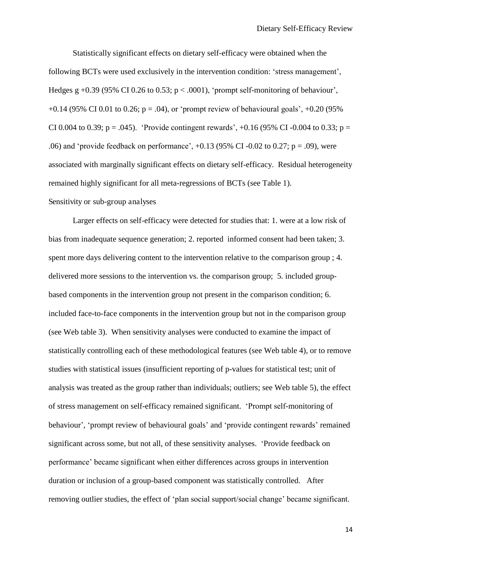Statistically significant effects on dietary self-efficacy were obtained when the following BCTs were used exclusively in the intervention condition: 'stress management', Hedges g +0.39 (95% CI 0.26 to 0.53;  $p < .0001$ ), 'prompt self-monitoring of behaviour',  $+0.14$  (95% CI 0.01 to 0.26; p = .04), or 'prompt review of behavioural goals',  $+0.20$  (95% CI 0.004 to 0.39; p = .045). 'Provide contingent rewards',  $+0.16$  (95% CI -0.004 to 0.33; p = .06) and 'provide feedback on performance',  $+0.13$  (95% CI -0.02 to 0.27; p = .09), were associated with marginally significant effects on dietary self-efficacy. Residual heterogeneity remained highly significant for all meta-regressions of BCTs (see Table 1). Sensitivity or sub-group analyses

Larger effects on self-efficacy were detected for studies that: 1. were at a low risk of bias from inadequate sequence generation; 2. reported informed consent had been taken; 3. spent more days delivering content to the intervention relative to the comparison group ; 4. delivered more sessions to the intervention vs. the comparison group; 5. included groupbased components in the intervention group not present in the comparison condition; 6. included face-to-face components in the intervention group but not in the comparison group (see Web table 3). When sensitivity analyses were conducted to examine the impact of statistically controlling each of these methodological features (see Web table 4), or to remove studies with statistical issues (insufficient reporting of p-values for statistical test; unit of analysis was treated as the group rather than individuals; outliers; see Web table 5), the effect of stress management on self-efficacy remained significant. 'Prompt self-monitoring of behaviour', 'prompt review of behavioural goals' and 'provide contingent rewards' remained significant across some, but not all, of these sensitivity analyses. 'Provide feedback on performance' became significant when either differences across groups in intervention duration or inclusion of a group-based component was statistically controlled. After removing outlier studies, the effect of 'plan social support/social change' became significant.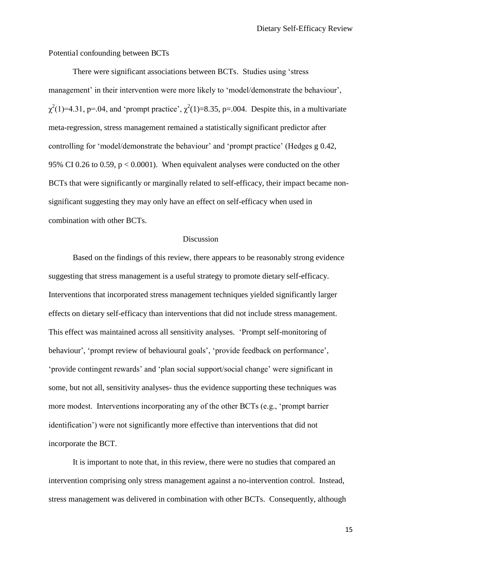Potential confounding between BCTs

There were significant associations between BCTs. Studies using 'stress management' in their intervention were more likely to 'model/demonstrate the behaviour',  $\chi^2(1)=4.31$ , p=.04, and 'prompt practice',  $\chi^2(1)=8.35$ , p=.004. Despite this, in a multivariate meta-regression, stress management remained a statistically significant predictor after controlling for 'model/demonstrate the behaviour' and 'prompt practice' (Hedges g 0.42, 95% CI 0.26 to 0.59, p < 0.0001). When equivalent analyses were conducted on the other BCTs that were significantly or marginally related to self-efficacy, their impact became nonsignificant suggesting they may only have an effect on self-efficacy when used in combination with other BCTs.

#### Discussion

 Based on the findings of this review, there appears to be reasonably strong evidence suggesting that stress management is a useful strategy to promote dietary self-efficacy. Interventions that incorporated stress management techniques yielded significantly larger effects on dietary self-efficacy than interventions that did not include stress management. This effect was maintained across all sensitivity analyses. 'Prompt self-monitoring of behaviour', 'prompt review of behavioural goals', 'provide feedback on performance', 'provide contingent rewards' and 'plan social support/social change' were significant in some, but not all, sensitivity analyses- thus the evidence supporting these techniques was more modest. Interventions incorporating any of the other BCTs (e.g., 'prompt barrier identification') were not significantly more effective than interventions that did not incorporate the BCT.

It is important to note that, in this review, there were no studies that compared an intervention comprising only stress management against a no-intervention control. Instead, stress management was delivered in combination with other BCTs. Consequently, although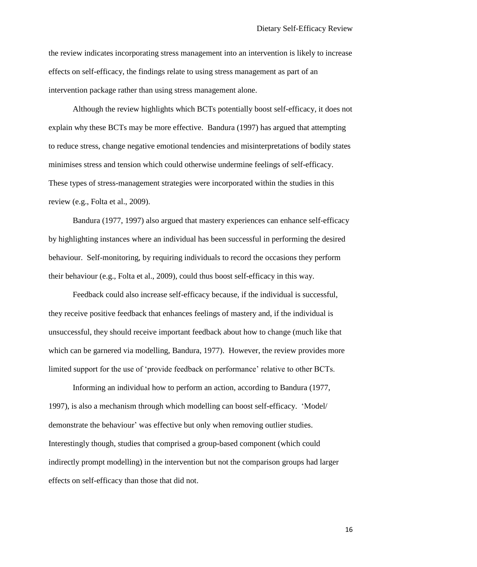the review indicates incorporating stress management into an intervention is likely to increase effects on self-efficacy, the findings relate to using stress management as part of an intervention package rather than using stress management alone.

Although the review highlights which BCTs potentially boost self-efficacy, it does not explain why these BCTs may be more effective. Bandura (1997) has argued that attempting to reduce stress, change negative emotional tendencies and misinterpretations of bodily states minimises stress and tension which could otherwise undermine feelings of self-efficacy. These types of stress-management strategies were incorporated within the studies in this review (e.g., Folta et al., 2009).

Bandura (1977, 1997) also argued that mastery experiences can enhance self-efficacy by highlighting instances where an individual has been successful in performing the desired behaviour. Self-monitoring, by requiring individuals to record the occasions they perform their behaviour (e.g., Folta et al., 2009), could thus boost self-efficacy in this way.

Feedback could also increase self-efficacy because, if the individual is successful, they receive positive feedback that enhances feelings of mastery and, if the individual is unsuccessful, they should receive important feedback about how to change (much like that which can be garnered via modelling, Bandura, 1977). However, the review provides more limited support for the use of 'provide feedback on performance' relative to other BCTs.

Informing an individual how to perform an action, according to Bandura (1977, 1997), is also a mechanism through which modelling can boost self-efficacy. 'Model/ demonstrate the behaviour' was effective but only when removing outlier studies. Interestingly though, studies that comprised a group-based component (which could indirectly prompt modelling) in the intervention but not the comparison groups had larger effects on self-efficacy than those that did not.

16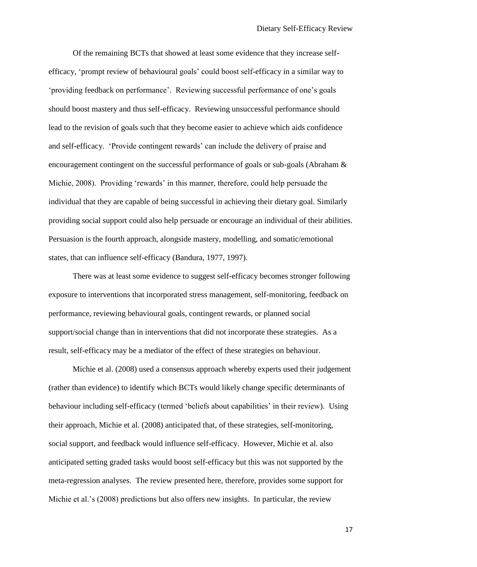Of the remaining BCTs that showed at least some evidence that they increase selfefficacy, 'prompt review of behavioural goals' could boost self-efficacy in a similar way to 'providing feedback on performance'. Reviewing successful performance of one's goals should boost mastery and thus self-efficacy. Reviewing unsuccessful performance should lead to the revision of goals such that they become easier to achieve which aids confidence and self-efficacy. 'Provide contingent rewards' can include the delivery of praise and encouragement contingent on the successful performance of goals or sub-goals (Abraham & Michie, 2008). Providing 'rewards' in this manner, therefore, could help persuade the individual that they are capable of being successful in achieving their dietary goal. Similarly providing social support could also help persuade or encourage an individual of their abilities. Persuasion is the fourth approach, alongside mastery, modelling, and somatic/emotional states, that can influence self-efficacy (Bandura, 1977, 1997).

There was at least some evidence to suggest self-efficacy becomes stronger following exposure to interventions that incorporated stress management, self-monitoring, feedback on performance, reviewing behavioural goals, contingent rewards, or planned social support/social change than in interventions that did not incorporate these strategies. As a result, self-efficacy may be a mediator of the effect of these strategies on behaviour.

Michie et al. (2008) used a consensus approach whereby experts used their judgement (rather than evidence) to identify which BCTs would likely change specific determinants of behaviour including self-efficacy (termed 'beliefs about capabilities' in their review). Using their approach, Michie et al. (2008) anticipated that, of these strategies, self-monitoring, social support, and feedback would influence self-efficacy. However, Michie et al. also anticipated setting graded tasks would boost self-efficacy but this was not supported by the meta-regression analyses. The review presented here, therefore, provides some support for Michie et al.'s (2008) predictions but also offers new insights. In particular, the review

17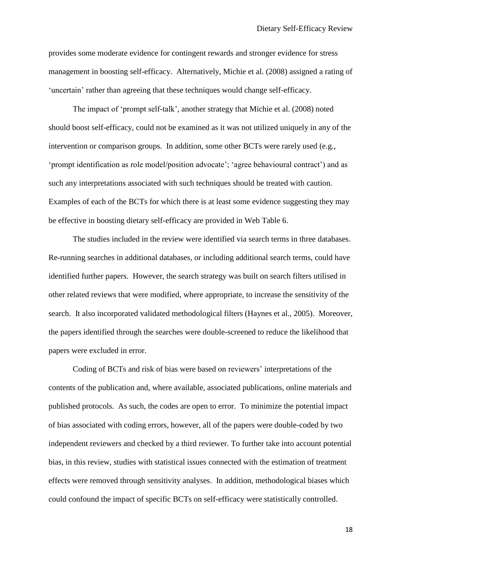provides some moderate evidence for contingent rewards and stronger evidence for stress management in boosting self-efficacy. Alternatively, Michie et al. (2008) assigned a rating of 'uncertain' rather than agreeing that these techniques would change self-efficacy.

The impact of 'prompt self-talk', another strategy that Michie et al. (2008) noted should boost self-efficacy, could not be examined as it was not utilized uniquely in any of the intervention or comparison groups. In addition, some other BCTs were rarely used (e.g., 'prompt identification as role model/position advocate'; 'agree behavioural contract') and as such any interpretations associated with such techniques should be treated with caution. Examples of each of the BCTs for which there is at least some evidence suggesting they may be effective in boosting dietary self-efficacy are provided in Web Table 6.

The studies included in the review were identified via search terms in three databases. Re-running searches in additional databases, or including additional search terms, could have identified further papers. However, the search strategy was built on search filters utilised in other related reviews that were modified, where appropriate, to increase the sensitivity of the search. It also incorporated validated methodological filters (Haynes et al., 2005). Moreover, the papers identified through the searches were double-screened to reduce the likelihood that papers were excluded in error.

Coding of BCTs and risk of bias were based on reviewers' interpretations of the contents of the publication and, where available, associated publications, online materials and published protocols. As such, the codes are open to error. To minimize the potential impact of bias associated with coding errors, however, all of the papers were double-coded by two independent reviewers and checked by a third reviewer. To further take into account potential bias, in this review, studies with statistical issues connected with the estimation of treatment effects were removed through sensitivity analyses. In addition, methodological biases which could confound the impact of specific BCTs on self-efficacy were statistically controlled.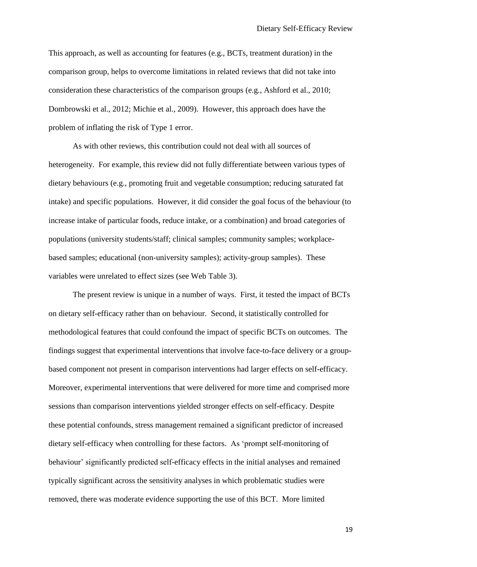This approach, as well as accounting for features (e.g., BCTs, treatment duration) in the comparison group, helps to overcome limitations in related reviews that did not take into consideration these characteristics of the comparison groups (e.g., Ashford et al., 2010; Dombrowski et al., 2012; Michie et al., 2009). However, this approach does have the problem of inflating the risk of Type 1 error.

As with other reviews, this contribution could not deal with all sources of heterogeneity. For example, this review did not fully differentiate between various types of dietary behaviours (e.g., promoting fruit and vegetable consumption; reducing saturated fat intake) and specific populations. However, it did consider the goal focus of the behaviour (to increase intake of particular foods, reduce intake, or a combination) and broad categories of populations (university students/staff; clinical samples; community samples; workplacebased samples; educational (non-university samples); activity-group samples). These variables were unrelated to effect sizes (see Web Table 3).

The present review is unique in a number of ways. First, it tested the impact of BCTs on dietary self-efficacy rather than on behaviour. Second, it statistically controlled for methodological features that could confound the impact of specific BCTs on outcomes. The findings suggest that experimental interventions that involve face-to-face delivery or a groupbased component not present in comparison interventions had larger effects on self-efficacy. Moreover, experimental interventions that were delivered for more time and comprised more sessions than comparison interventions yielded stronger effects on self-efficacy. Despite these potential confounds, stress management remained a significant predictor of increased dietary self-efficacy when controlling for these factors. As 'prompt self-monitoring of behaviour' significantly predicted self-efficacy effects in the initial analyses and remained typically significant across the sensitivity analyses in which problematic studies were removed, there was moderate evidence supporting the use of this BCT. More limited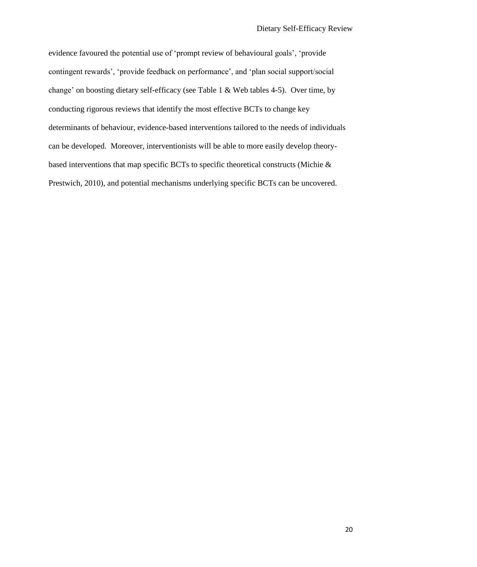evidence favoured the potential use of 'prompt review of behavioural goals', 'provide contingent rewards', 'provide feedback on performance', and 'plan social support/social change' on boosting dietary self-efficacy (see Table 1 & Web tables 4-5). Over time, by conducting rigorous reviews that identify the most effective BCTs to change key determinants of behaviour, evidence-based interventions tailored to the needs of individuals can be developed. Moreover, interventionists will be able to more easily develop theorybased interventions that map specific BCTs to specific theoretical constructs (Michie & Prestwich, 2010), and potential mechanisms underlying specific BCTs can be uncovered.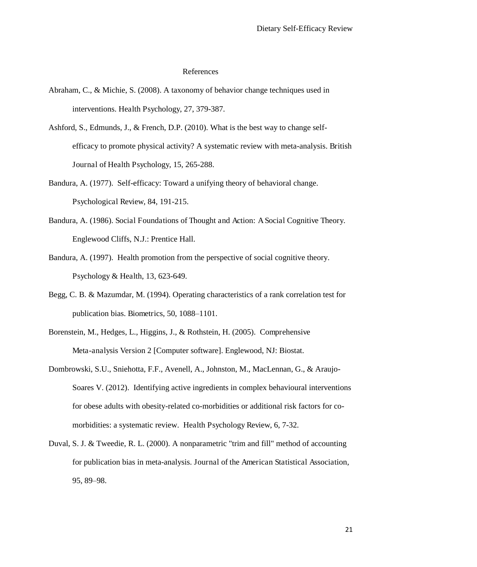#### References

- Abraham, C., & Michie, S. (2008). A taxonomy of behavior change techniques used in interventions. Health Psychology, 27, 379-387.
- Ashford, S., Edmunds, J., & French, D.P. (2010). What is the best way to change selfefficacy to promote physical activity? A systematic review with meta-analysis. British Journal of Health Psychology, 15, 265-288.
- Bandura, A. (1977). Self-efficacy: Toward a unifying theory of behavioral change. Psychological Review, 84, 191-215.
- Bandura, A. (1986). Social Foundations of Thought and Action: A Social Cognitive Theory. Englewood Cliffs, N.J.: Prentice Hall.
- Bandura, A. (1997). Health promotion from the perspective of social cognitive theory. Psychology & Health, 13, 623-649.
- Begg, C. B. & Mazumdar, M. (1994). Operating characteristics of a rank correlation test for publication bias. Biometrics, 50, 1088–1101.
- Borenstein, M., Hedges, L., Higgins, J., & Rothstein, H. (2005). Comprehensive Meta-analysis Version 2 [Computer software]. Englewood, NJ: Biostat.
- Dombrowski, S.U., Sniehotta, F.F., Avenell, A., Johnston, M., MacLennan, G., & Araujo-Soares V. (2012). Identifying active ingredients in complex behavioural interventions for obese adults with obesity-related co-morbidities or additional risk factors for comorbidities: a systematic review. Health Psychology Review, 6, 7-32.
- Duval, S. J. & Tweedie, R. L. (2000). A nonparametric "trim and fill" method of accounting for publication bias in meta-analysis. Journal of the American Statistical Association, 95, 89–98.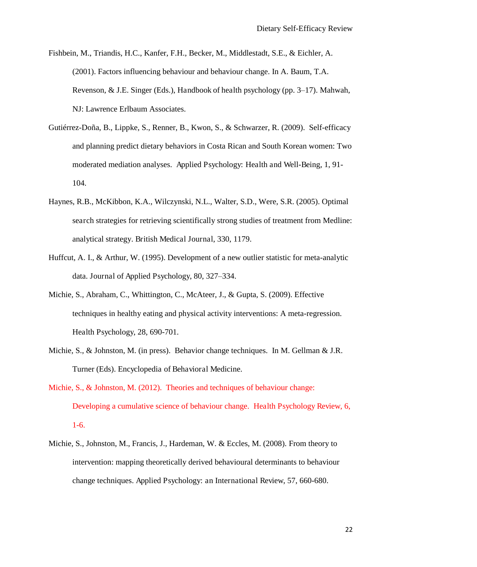- Fishbein, M., Triandis, H.C., Kanfer, F.H., Becker, M., Middlestadt, S.E., & Eichler, A. (2001). Factors influencing behaviour and behaviour change. In A. Baum, T.A. Revenson, & J.E. Singer (Eds.), Handbook of health psychology (pp. 3–17). Mahwah, NJ: Lawrence Erlbaum Associates.
- Gutiérrez-Doña, B., Lippke, S., Renner, B., Kwon, S., & Schwarzer, R. (2009). Self-efficacy and planning predict dietary behaviors in Costa Rican and South Korean women: Two moderated mediation analyses. Applied Psychology: Health and Well-Being, 1, 91- 104.
- Haynes, R.B., McKibbon, K.A., Wilczynski, N.L., Walter, S.D., Were, S.R. (2005). Optimal search strategies for retrieving scientifically strong studies of treatment from Medline: analytical strategy. British Medical Journal, 330, 1179.
- Huffcut, A. I., & Arthur, W. (1995). Development of a new outlier statistic for meta-analytic data. Journal of Applied Psychology, 80, 327–334.
- Michie, S., Abraham, C., Whittington, C., McAteer, J., & Gupta, S. (2009). Effective techniques in healthy eating and physical activity interventions: A meta-regression. Health Psychology, 28, 690-701.
- Michie, S., & Johnston, M. (in press). Behavior change techniques. In M. Gellman & J.R. Turner (Eds). Encyclopedia of Behavioral Medicine.
- Michie, S., & Johnston, M. (2012). Theories and techniques of behaviour change: Developing a cumulative science of behaviour change. Health Psychology Review, 6, 1-6.
- Michie, S., Johnston, M., Francis, J., Hardeman, W. & Eccles, M. (2008). From theory to intervention: mapping theoretically derived behavioural determinants to behaviour change techniques. Applied Psychology: an International Review, 57, 660-680.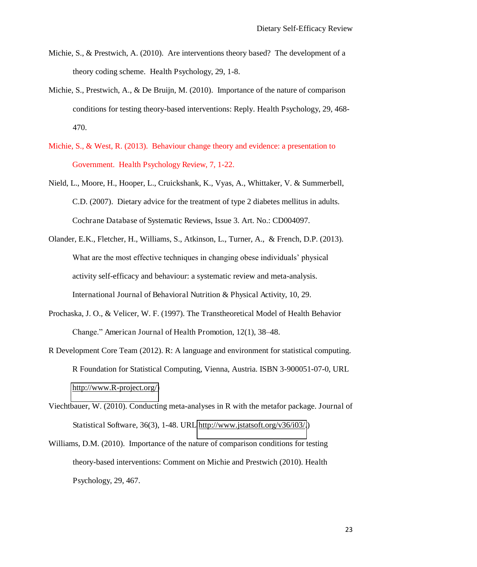- Michie, S., & Prestwich, A. (2010). Are interventions theory based? The development of a theory coding scheme. Health Psychology, 29, 1-8.
- Michie, S., Prestwich, A., & De Bruijn, M. (2010). Importance of the nature of comparison conditions for testing theory-based interventions: Reply. Health Psychology, 29, 468- 470.
- Michie, S., & West, R. (2013). Behaviour change theory and evidence: a presentation to Government. Health Psychology Review, 7, 1-22.
- Nield, L., Moore, H., Hooper, L., Cruickshank, K., Vyas, A., Whittaker, V. & Summerbell, C.D. (2007). Dietary advice for the treatment of type 2 diabetes mellitus in adults. Cochrane Database of Systematic Reviews, Issue 3. Art. No.: CD004097.
- Olander, E.K., Fletcher, H., Williams, S., Atkinson, L., Turner, A., & French, D.P. (2013). What are the most effective techniques in changing obese individuals' physical activity self-efficacy and behaviour: a systematic review and meta-analysis. International Journal of Behavioral Nutrition & Physical Activity, 10, 29.
- Prochaska, J. O., & Velicer, W. F. (1997). The Transtheoretical Model of Health Behavior Change." American Journal of Health Promotion, 12(1), 38–48.
- R Development Core Team (2012). R: A language and environment for statistical computing. R Foundation for Statistical Computing, Vienna, Austria. ISBN 3-900051-07-0, URL [http://www.R-project.org/\)](http://www.r-project.org/)
- Viechtbauer, W. (2010). Conducting meta-analyses in R with the metafor package. Journal of Statistical Software, 36(3), 1-48. URL [http://www.jstatsoft.org/v36/i03/.](http://www.jstatsoft.org/v36/i03/))
- Williams, D.M. (2010). Importance of the nature of comparison conditions for testing theory-based interventions: Comment on Michie and Prestwich (2010). Health Psychology, 29, 467.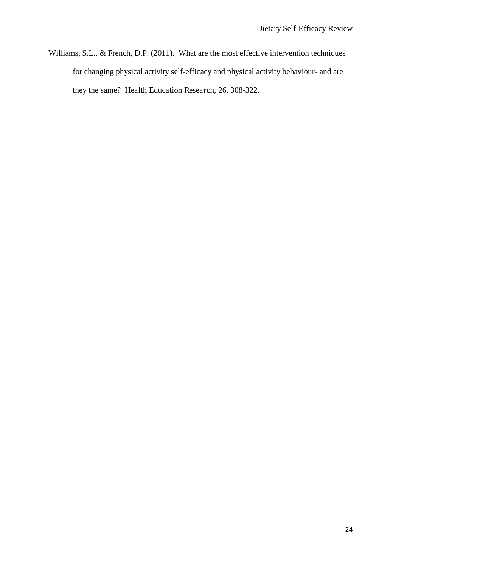Williams, S.L., & French, D.P. (2011). What are the most effective intervention techniques for changing physical activity self-efficacy and physical activity behaviour- and are they the same? Health Education Research, 26, 308-322.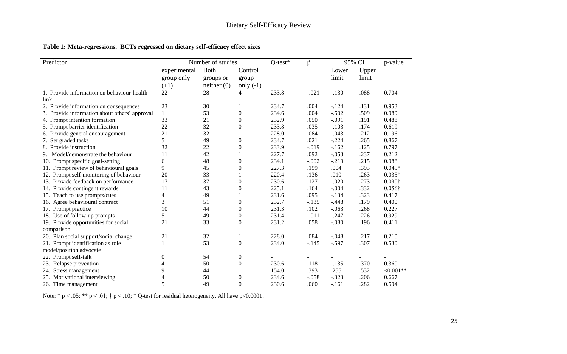## **Table 1: Meta-regressions. BCTs regressed on dietary self-efficacy effect sizes**

| Predictor                                     |                  | Number of studies |                  | $Q$ -test* | β       | 95% CI  |       | p-value        |
|-----------------------------------------------|------------------|-------------------|------------------|------------|---------|---------|-------|----------------|
|                                               | experimental     | <b>Both</b>       | Control          |            |         | Lower   | Upper |                |
|                                               | group only       | groups or         | group            |            |         | limit   | limit |                |
|                                               | $(+1)$           | neither(0)        | only $(-1)$      |            |         |         |       |                |
| 1. Provide information on behaviour-health    | 22               | 28                | $\overline{4}$   | 233.8      | $-.021$ | $-.130$ | .088  | 0.704          |
| link                                          |                  |                   |                  |            |         |         |       |                |
| 2. Provide information on consequences        | 23               | 30                |                  | 234.7      | .004    | $-.124$ | .131  | 0.953          |
| 3. Provide information about others' approval | $\mathbf{1}$     | 53                | $\theta$         | 234.6      | .004    | $-.502$ | .509  | 0.989          |
| 4. Prompt intention formation                 | 33               | 21                | $\theta$         | 232.9      | .050    | $-.091$ | .191  | 0.488          |
| 5. Prompt barrier identification              | 22               | 32                | 0                | 233.8      | .035    | $-.103$ | .174  | 0.619          |
| 6. Provide general encouragement              | 21               | 32                |                  | 228.0      | .084    | $-.043$ | .212  | 0.196          |
| 7. Set graded tasks                           | 5                | 49                | $\theta$         | 234.7      | .021    | $-.224$ | .265  | 0.867          |
| 8. Provide instruction                        | 32               | 22                | 0                | 233.9      | $-.019$ | $-.162$ | .125  | 0.797          |
| 9. Model/demonstrate the behaviour            | 11               | 42                |                  | 227.7      | .092    | $-.053$ | .237  | 0.212          |
| 10. Prompt specific goal-setting              | 6                | 48                | $\boldsymbol{0}$ | 234.1      | $-.002$ | $-.219$ | .215  | 0.988          |
| 11. Prompt review of behavioural goals        | 9                | 45                | $\overline{0}$   | 227.3      | .199    | .004    | .393  | $0.045*$       |
| 12. Prompt self-monitoring of behaviour       | 20               | 33                |                  | 220.4      | .136    | .010    | .263  | $0.035*$       |
| 13. Provide feedback on performance           | 17               | 37                | $\Omega$         | 230.6      | .127    | $-.020$ | .273  | 0.090†         |
| 14. Provide contingent rewards                | 11               | 43                | $\theta$         | 225.1      | .164    | $-.004$ | .332  | $0.056\dagger$ |
| 15. Teach to use prompts/cues                 | 4                | 49                |                  | 231.6      | .095    | $-.134$ | .323  | 0.417          |
| 16. Agree behavioural contract                | 3                | 51                | $\boldsymbol{0}$ | 232.7      | $-.135$ | $-.448$ | .179  | 0.400          |
| 17. Prompt practice                           | 10               | 44                | $\boldsymbol{0}$ | 231.3      | .102    | $-.063$ | .268  | 0.227          |
| 18. Use of follow-up prompts                  | 5                | 49                | $\boldsymbol{0}$ | 231.4      | $-.011$ | $-.247$ | .226  | 0.929          |
| 19. Provide opportunities for social          | 21               | 33                | $\theta$         | 231.2      | .058    | $-.080$ | .196  | 0.411          |
| comparison                                    |                  |                   |                  |            |         |         |       |                |
| 20. Plan social support/social change         | 21               | 32                |                  | 228.0      | .084    | $-.048$ | .217  | 0.210          |
| 21. Prompt identification as role             | 1                | 53                | $\boldsymbol{0}$ | 234.0      | $-.145$ | $-.597$ | .307  | 0.530          |
| model/position advocate                       |                  |                   |                  |            |         |         |       |                |
| 22. Prompt self-talk                          | $\boldsymbol{0}$ | 54                | $\boldsymbol{0}$ |            |         |         |       |                |
| 23. Relapse prevention                        | 4                | 50                | 0                | 230.6      | .118    | $-.135$ | .370  | 0.360          |
| 24. Stress management                         | 9                | 44                |                  | 154.0      | .393    | .255    | .532  | $<0.001**$     |
| 25. Motivational interviewing                 | 4                | 50                | $\boldsymbol{0}$ | 234.6      | $-.058$ | $-.323$ | .206  | 0.667          |
| 26. Time management                           | 5                | 49                | $\overline{0}$   | 230.6      | .060    | $-.161$ | .282  | 0.594          |

Note: \* p < .05; \*\* p < .01; † p < .10; \* Q-test for residual heterogeneity. All have p<0.0001.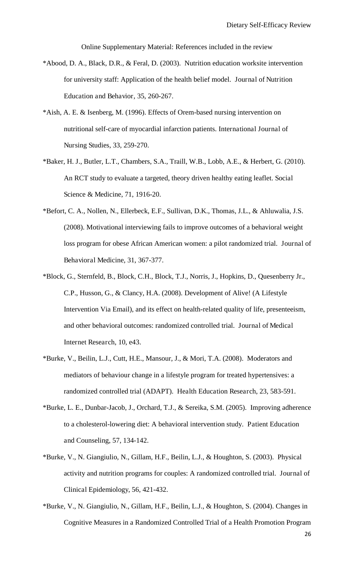Online Supplementary Material: References included in the review

- \*Abood, D. A., Black, D.R., & Feral, D. (2003). Nutrition education worksite intervention for university staff: Application of the health belief model. Journal of Nutrition Education and Behavior, 35, 260-267.
- \*Aish, A. E. & Isenberg, M. (1996). Effects of Orem-based nursing intervention on nutritional self-care of myocardial infarction patients. International Journal of Nursing Studies, 33, 259-270.
- \*Baker, H. J., Butler, L.T., Chambers, S.A., Traill, W.B., Lobb, A.E., & Herbert, G. (2010). An RCT study to evaluate a targeted, theory driven healthy eating leaflet. Social Science & Medicine, 71, 1916-20.
- \*Befort, C. A., Nollen, N., Ellerbeck, E.F., Sullivan, D.K., Thomas, J.L., & Ahluwalia, J.S. (2008). Motivational interviewing fails to improve outcomes of a behavioral weight loss program for obese African American women: a pilot randomized trial. Journal of Behavioral Medicine, 31, 367-377.
- \*Block, G., Sternfeld, B., Block, C.H., Block, T.J., Norris, J., Hopkins, D., Quesenberry Jr., C.P., Husson, G., & Clancy, H.A. (2008). Development of Alive! (A Lifestyle Intervention Via Email), and its effect on health-related quality of life, presenteeism, and other behavioral outcomes: randomized controlled trial. Journal of Medical Internet Research, 10, e43.
- \*Burke, V., Beilin, L.J., Cutt, H.E., Mansour, J., & Mori, T.A. (2008). Moderators and mediators of behaviour change in a lifestyle program for treated hypertensives: a randomized controlled trial (ADAPT). Health Education Research, 23, 583-591.
- \*Burke, L. E., Dunbar-Jacob, J., Orchard, T.J., & Sereika, S.M. (2005). Improving adherence to a cholesterol-lowering diet: A behavioral intervention study. Patient Education and Counseling, 57, 134-142.
- \*Burke, V., N. Giangiulio, N., Gillam, H.F., Beilin, L.J., & Houghton, S. (2003). Physical activity and nutrition programs for couples: A randomized controlled trial. Journal of Clinical Epidemiology, 56, 421-432.
- \*Burke, V., N. Giangiulio, N., Gillam, H.F., Beilin, L.J., & Houghton, S. (2004). Changes in Cognitive Measures in a Randomized Controlled Trial of a Health Promotion Program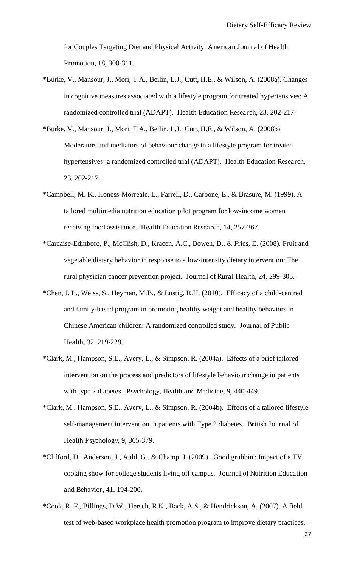for Couples Targeting Diet and Physical Activity. American Journal of Health Promotion, 18, 300-311.

- \*Burke, V., Mansour, J., Mori, T.A., Beilin, L.J., Cutt, H.E., & Wilson, A. (2008a). Changes in cognitive measures associated with a lifestyle program for treated hypertensives: A randomized controlled trial (ADAPT). Health Education Research, 23, 202-217.
- \*Burke, V., Mansour, J., Mori, T.A., Beilin, L.J., Cutt, H.E., & Wilson, A. (2008b). Moderators and mediators of behaviour change in a lifestyle program for treated hypertensives: a randomized controlled trial (ADAPT). Health Education Research, 23, 202-217.
- \*Campbell, M. K., Honess-Morreale, L., Farrell, D., Carbone, E., & Brasure, M. (1999). A tailored multimedia nutrition education pilot program for low-income women receiving food assistance. Health Education Research, 14, 257-267.
- \*Carcaise-Edinboro, P., McClish, D., Kracen, A.C., Bowen, D., & Fries, E. (2008). Fruit and vegetable dietary behavior in response to a low-intensity dietary intervention: The rural physician cancer prevention project. Journal of Rural Health, 24, 299-305.
- \*Chen, J. L., Weiss, S., Heyman, M.B., & Lustig, R.H. (2010). Efficacy of a child-centred and family-based program in promoting healthy weight and healthy behaviors in Chinese American children: A randomized controlled study. Journal of Public Health, 32, 219-229.
- \*Clark, M., Hampson, S.E., Avery, L., & Simpson, R. (2004a). Effects of a brief tailored intervention on the process and predictors of lifestyle behaviour change in patients with type 2 diabetes. Psychology, Health and Medicine, 9, 440-449.
- \*Clark, M., Hampson, S.E., Avery, L., & Simpson, R. (2004b). Effects of a tailored lifestyle self-management intervention in patients with Type 2 diabetes. British Journal of Health Psychology, 9, 365-379.
- \*Clifford, D., Anderson, J., Auld, G., & Champ, J. (2009). Good grubbin': Impact of a TV cooking show for college students living off campus. Journal of Nutrition Education and Behavior, 41, 194-200.
- \*Cook, R. F., Billings, D.W., Hersch, R.K., Back, A.S., & Hendrickson, A. (2007). A field test of web-based workplace health promotion program to improve dietary practices,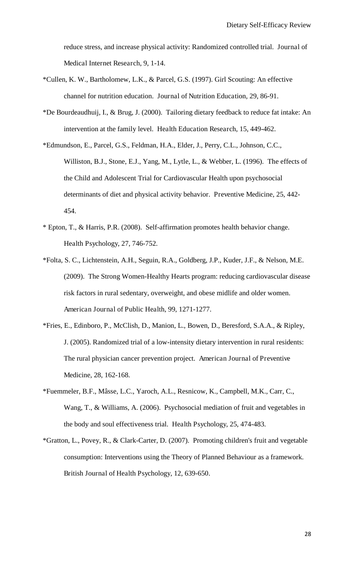reduce stress, and increase physical activity: Randomized controlled trial. Journal of Medical Internet Research, 9, 1-14.

- \*Cullen, K. W., Bartholomew, L.K., & Parcel, G.S. (1997). Girl Scouting: An effective channel for nutrition education. Journal of Nutrition Education, 29, 86-91.
- \*De Bourdeaudhuij, I., & Brug, J. (2000). Tailoring dietary feedback to reduce fat intake: An intervention at the family level. Health Education Research, 15, 449-462.
- \*Edmundson, E., Parcel, G.S., Feldman, H.A., Elder, J., Perry, C.L., Johnson, C.C., Williston, B.J., Stone, E.J., Yang, M., Lytle, L., & Webber, L. (1996). The effects of the Child and Adolescent Trial for Cardiovascular Health upon psychosocial determinants of diet and physical activity behavior. Preventive Medicine, 25, 442- 454.
- \* Epton, T., & Harris, P.R. (2008). Self-affirmation promotes health behavior change. Health Psychology, 27, 746-752.
- \*Folta, S. C., Lichtenstein, A.H., Seguin, R.A., Goldberg, J.P., Kuder, J.F., & Nelson, M.E. (2009). The Strong Women-Healthy Hearts program: reducing cardiovascular disease risk factors in rural sedentary, overweight, and obese midlife and older women. American Journal of Public Health, 99, 1271-1277.
- \*Fries, E., Edinboro, P., McClish, D., Manion, L., Bowen, D., Beresford, S.A.A., & Ripley, J. (2005). Randomized trial of a low-intensity dietary intervention in rural residents: The rural physician cancer prevention project. American Journal of Preventive Medicine, 28, 162-168.
- \*Fuemmeler, B.F., Mâsse, L.C., Yaroch, A.L., Resnicow, K., Campbell, M.K., Carr, C., Wang, T., & Williams, A. (2006). Psychosocial mediation of fruit and vegetables in the body and soul effectiveness trial. Health Psychology, 25, 474-483.
- \*Gratton, L., Povey, R., & Clark-Carter, D. (2007). Promoting children's fruit and vegetable consumption: Interventions using the Theory of Planned Behaviour as a framework. British Journal of Health Psychology, 12, 639-650.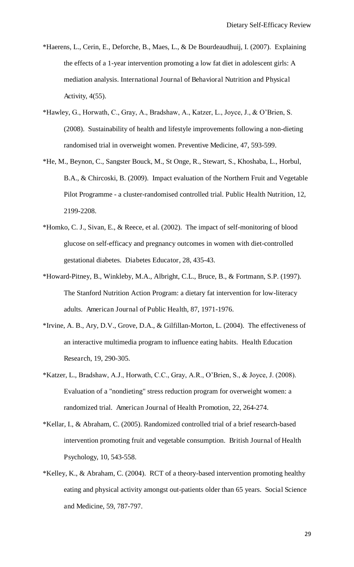- \*Haerens, L., Cerin, E., Deforche, B., Maes, L., & De Bourdeaudhuij, I. (2007). Explaining the effects of a 1-year intervention promoting a low fat diet in adolescent girls: A mediation analysis. International Journal of Behavioral Nutrition and Physical Activity, 4(55).
- \*Hawley, G., Horwath, C., Gray, A., Bradshaw, A., Katzer, L., Joyce, J., & O'Brien, S. (2008). Sustainability of health and lifestyle improvements following a non-dieting randomised trial in overweight women. Preventive Medicine, 47, 593-599.
- \*He, M., Beynon, C., Sangster Bouck, M., St Onge, R., Stewart, S., Khoshaba, L., Horbul, B.A., & Chircoski, B. (2009). Impact evaluation of the Northern Fruit and Vegetable Pilot Programme - a cluster-randomised controlled trial. Public Health Nutrition, 12, 2199-2208.
- \*Homko, C. J., Sivan, E., & Reece, et al. (2002). The impact of self-monitoring of blood glucose on self-efficacy and pregnancy outcomes in women with diet-controlled gestational diabetes. Diabetes Educator, 28, 435-43.
- \*Howard-Pitney, B., Winkleby, M.A., Albright, C.L., Bruce, B., & Fortmann, S.P. (1997). The Stanford Nutrition Action Program: a dietary fat intervention for low-literacy adults. American Journal of Public Health, 87, 1971-1976.
- \*Irvine, A. B., Ary, D.V., Grove, D.A., & Gilfillan-Morton, L. (2004). The effectiveness of an interactive multimedia program to influence eating habits. Health Education Research, 19, 290-305.
- \*Katzer, L., Bradshaw, A.J., Horwath, C.C., Gray, A.R., O'Brien, S., & Joyce, J. (2008). Evaluation of a "nondieting" stress reduction program for overweight women: a randomized trial. American Journal of Health Promotion, 22, 264-274.
- \*Kellar, I., & Abraham, C. (2005). Randomized controlled trial of a brief research-based intervention promoting fruit and vegetable consumption. British Journal of Health Psychology, 10, 543-558.
- \*Kelley, K., & Abraham, C. (2004). RCT of a theory-based intervention promoting healthy eating and physical activity amongst out-patients older than 65 years. Social Science and Medicine, 59, 787-797.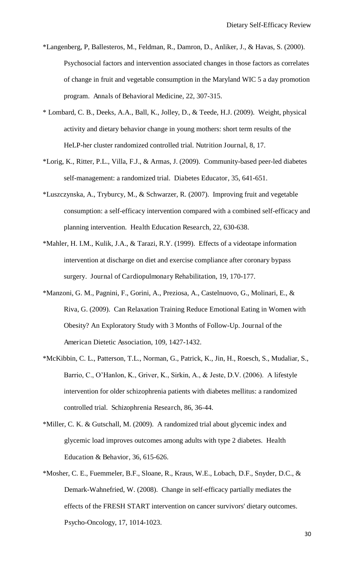- \*Langenberg, P, Ballesteros, M., Feldman, R., Damron, D., Anliker, J., & Havas, S. (2000). Psychosocial factors and intervention associated changes in those factors as correlates of change in fruit and vegetable consumption in the Maryland WIC 5 a day promotion program. Annals of Behavioral Medicine, 22, 307-315.
- \* Lombard, C. B., Deeks, A.A., Ball, K., Jolley, D., & Teede, H.J. (2009). Weight, physical activity and dietary behavior change in young mothers: short term results of the HeLP-her cluster randomized controlled trial. Nutrition Journal, 8, 17.
- \*Lorig, K., Ritter, P.L., Villa, F.J., & Armas, J. (2009). Community-based peer-led diabetes self-management: a randomized trial. Diabetes Educator, 35, 641-651.
- \*Luszczynska, A., Tryburcy, M., & Schwarzer, R. (2007). Improving fruit and vegetable consumption: a self-efficacy intervention compared with a combined self-efficacy and planning intervention. Health Education Research, 22, 630-638.
- \*Mahler, H. I.M., Kulik, J.A., & Tarazi, R.Y. (1999). Effects of a videotape information intervention at discharge on diet and exercise compliance after coronary bypass surgery. Journal of Cardiopulmonary Rehabilitation, 19, 170-177.
- \*Manzoni, G. M., Pagnini, F., Gorini, A., Preziosa, A., Castelnuovo, G., Molinari, E., & Riva, G. (2009). Can Relaxation Training Reduce Emotional Eating in Women with Obesity? An Exploratory Study with 3 Months of Follow-Up. Journal of the American Dietetic Association, 109, 1427-1432.
- \*McKibbin, C. L., Patterson, T.L., Norman, G., Patrick, K., Jin, H., Roesch, S., Mudaliar, S., Barrio, C., O'Hanlon, K., Griver, K., Sirkin, A., & Jeste, D.V. (2006). A lifestyle intervention for older schizophrenia patients with diabetes mellitus: a randomized controlled trial. Schizophrenia Research, 86, 36-44.
- \*Miller, C. K. & Gutschall, M. (2009). A randomized trial about glycemic index and glycemic load improves outcomes among adults with type 2 diabetes. Health Education & Behavior, 36, 615-626.
- \*Mosher, C. E., Fuemmeler, B.F., Sloane, R., Kraus, W.E., Lobach, D.F., Snyder, D.C., & Demark-Wahnefried, W. (2008). Change in self-efficacy partially mediates the effects of the FRESH START intervention on cancer survivors' dietary outcomes. Psycho-Oncology, 17, 1014-1023.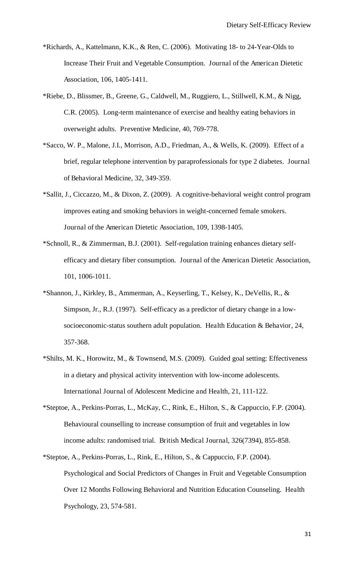- \*Richards, A., Kattelmann, K.K., & Ren, C. (2006). Motivating 18- to 24-Year-Olds to Increase Their Fruit and Vegetable Consumption. Journal of the American Dietetic Association, 106, 1405-1411.
- \*Riebe, D., Blissmer, B., Greene, G., Caldwell, M., Ruggiero, L., Stillwell, K.M., & Nigg, C.R. (2005). Long-term maintenance of exercise and healthy eating behaviors in overweight adults. Preventive Medicine, 40, 769-778.
- \*Sacco, W. P., Malone, J.I., Morrison, A.D., Friedman, A., & Wells, K. (2009). Effect of a brief, regular telephone intervention by paraprofessionals for type 2 diabetes. Journal of Behavioral Medicine, 32, 349-359.
- \*Sallit, J., Ciccazzo, M., & Dixon, Z. (2009). A cognitive-behavioral weight control program improves eating and smoking behaviors in weight-concerned female smokers. Journal of the American Dietetic Association, 109, 1398-1405.
- \*Schnoll, R., & Zimmerman, B.J. (2001). Self-regulation training enhances dietary selfefficacy and dietary fiber consumption. Journal of the American Dietetic Association, 101, 1006-1011.
- \*Shannon, J., Kirkley, B., Ammerman, A., Keyserling, T., Kelsey, K., DeVellis, R., & Simpson, Jr., R.J. (1997). Self-efficacy as a predictor of dietary change in a lowsocioeconomic-status southern adult population. Health Education & Behavior, 24, 357-368.
- \*Shilts, M. K., Horowitz, M., & Townsend, M.S. (2009). Guided goal setting: Effectiveness in a dietary and physical activity intervention with low-income adolescents. International Journal of Adolescent Medicine and Health, 21, 111-122.
- \*Steptoe, A., Perkins-Porras, L., McKay, C., Rink, E., Hilton, S., & Cappuccio, F.P. (2004). Behavioural counselling to increase consumption of fruit and vegetables in low income adults: randomised trial. British Medical Journal, 326(7394), 855-858.
- \*Steptoe, A., Perkins-Porras, L., Rink, E., Hilton, S., & Cappuccio, F.P. (2004). Psychological and Social Predictors of Changes in Fruit and Vegetable Consumption Over 12 Months Following Behavioral and Nutrition Education Counseling. Health Psychology, 23, 574-581.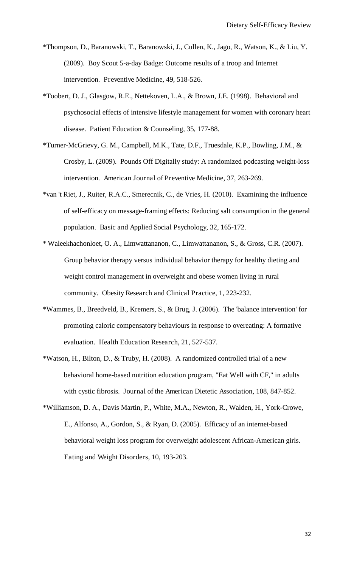- \*Thompson, D., Baranowski, T., Baranowski, J., Cullen, K., Jago, R., Watson, K., & Liu, Y. (2009). Boy Scout 5-a-day Badge: Outcome results of a troop and Internet intervention. Preventive Medicine, 49, 518-526.
- \*Toobert, D. J., Glasgow, R.E., Nettekoven, L.A., & Brown, J.E. (1998). Behavioral and psychosocial effects of intensive lifestyle management for women with coronary heart disease. Patient Education & Counseling, 35, 177-88.
- \*Turner-McGrievy, G. M., Campbell, M.K., Tate, D.F., Truesdale, K.P., Bowling, J.M., & Crosby, L. (2009). Pounds Off Digitally study: A randomized podcasting weight-loss intervention. American Journal of Preventive Medicine, 37, 263-269.
- \*van 't Riet, J., Ruiter, R.A.C., Smerecnik, C., de Vries, H. (2010). Examining the influence of self-efficacy on message-framing effects: Reducing salt consumption in the general population. Basic and Applied Social Psychology, 32, 165-172.
- \* Waleekhachonloet, O. A., Limwattananon, C., Limwattananon, S., & Gross, C.R. (2007). Group behavior therapy versus individual behavior therapy for healthy dieting and weight control management in overweight and obese women living in rural community. Obesity Research and Clinical Practice, 1, 223-232.
- \*Wammes, B., Breedveld, B., Kremers, S., & Brug, J. (2006). The 'balance intervention' for promoting caloric compensatory behaviours in response to overeating: A formative evaluation. Health Education Research, 21, 527-537.
- \*Watson, H., Bilton, D., & Truby, H. (2008). A randomized controlled trial of a new behavioral home-based nutrition education program, "Eat Well with CF," in adults with cystic fibrosis. Journal of the American Dietetic Association, 108, 847-852.
- \*Williamson, D. A., Davis Martin, P., White, M.A., Newton, R., Walden, H., York-Crowe, E., Alfonso, A., Gordon, S., & Ryan, D. (2005). Efficacy of an internet-based behavioral weight loss program for overweight adolescent African-American girls. Eating and Weight Disorders, 10, 193-203.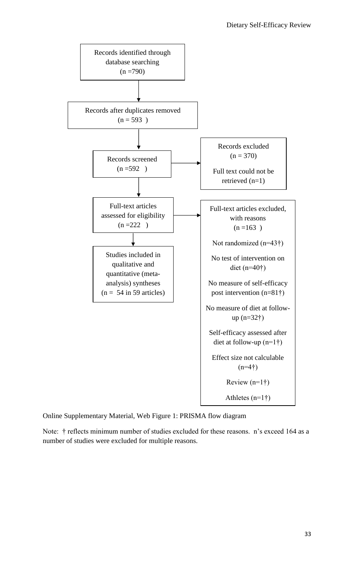

Online Supplementary Material, Web Figure 1: PRISMA flow diagram

Note: † reflects minimum number of studies excluded for these reasons. n's exceed 164 as a number of studies were excluded for multiple reasons.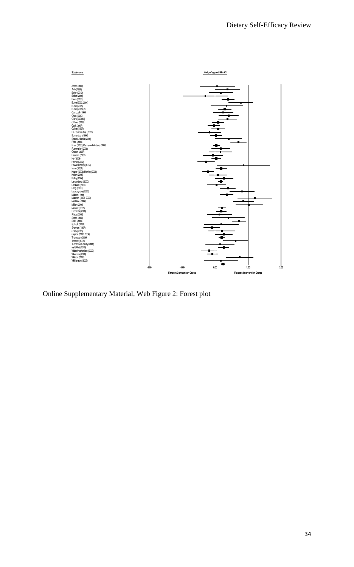

Online Supplementary Material, Web Figure 2: Forest plot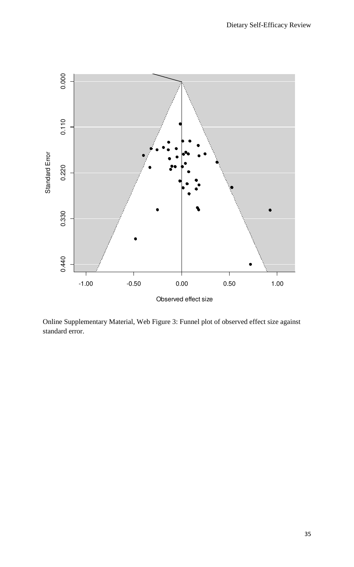

Online Supplementary Material, Web Figure 3: Funnel plot of observed effect size against standard error.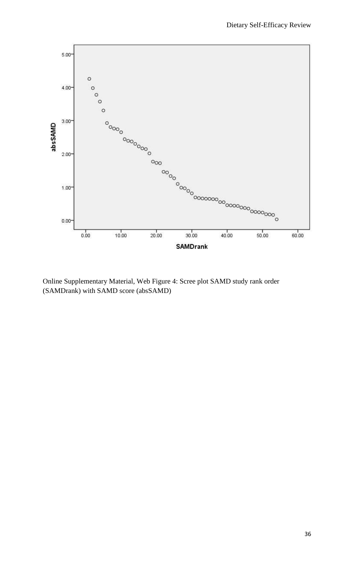

Online Supplementary Material, Web Figure 4: Scree plot SAMD study rank order (SAMDrank) with SAMD score (absSAMD)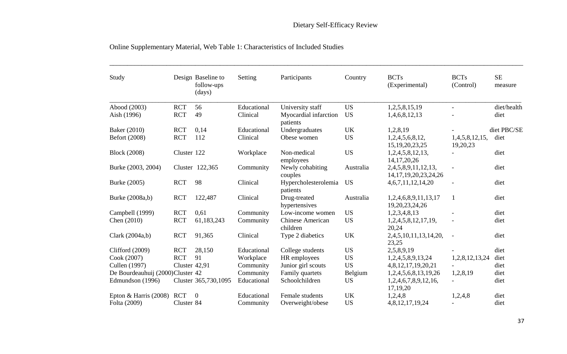| Study                            |               | Design Baseline to<br>follow-ups<br>(days) | Setting     | Participants                        | Country   | <b>BCTs</b><br>(Experimental)                     | <b>BCTs</b><br>(Control)   | <b>SE</b><br>measure |
|----------------------------------|---------------|--------------------------------------------|-------------|-------------------------------------|-----------|---------------------------------------------------|----------------------------|----------------------|
| Abood (2003)                     | <b>RCT</b>    | 56                                         | Educational | University staff                    | <b>US</b> | 1,2,5,8,15,19                                     | $\blacksquare$             | diet/health          |
| Aish (1996)                      | <b>RCT</b>    | 49                                         | Clinical    | Myocardial infarction<br>patients   | <b>US</b> | 1,4,6,8,12,13                                     |                            | diet                 |
| Baker (2010)                     | <b>RCT</b>    | 0,14                                       | Educational | Undergraduates                      | <b>UK</b> | 1,2,8,19                                          |                            | diet PBC/SE          |
| Befort (2008)                    | <b>RCT</b>    | 112                                        | Clinical    | Obese women                         | <b>US</b> | 1,2,4,5,6,8,12,<br>15, 19, 20, 23, 25             | 1,4,5,8,12,15,<br>19,20,23 | diet                 |
| <b>Block</b> (2008)              | Cluster 122   |                                            | Workplace   | Non-medical<br>employees            | <b>US</b> | 1,2,4,5,8,12,13,<br>14, 17, 20, 26                |                            | diet                 |
| Burke (2003, 2004)               |               | Cluster 122,365                            | Community   | Newly cohabiting<br>couples         | Australia | 2,4,5,8,9,11,12,13,<br>14, 17, 19, 20, 23, 24, 26 | $\overline{\phantom{a}}$   | diet                 |
| Burke (2005)                     | <b>RCT</b>    | 98                                         | Clinical    | Hypercholesterolemia<br>patients    | <b>US</b> | 4, 6, 7, 11, 12, 14, 20                           |                            | diet                 |
| Burke (2008a,b)                  | <b>RCT</b>    | 122,487                                    | Clinical    | Drug-treated<br>hypertensives       | Australia | 1,2,4,6,8,9,11,13,17<br>19,20,23,24,26            |                            | diet                 |
| Campbell (1999)                  | <b>RCT</b>    | 0.61                                       | Community   | Low-income women                    | <b>US</b> | 1,2,3,4,8,13                                      |                            | diet                 |
| Chen (2010)                      | <b>RCT</b>    | 61,183,243                                 | Community   | <b>Chinese American</b><br>children | <b>US</b> | 1,2,4,5,8,12,17,19,<br>20,24                      |                            | diet                 |
| Clark $(2004a,b)$                | <b>RCT</b>    | 91,365                                     | Clinical    | Type 2 diabetics                    | <b>UK</b> | 2,4,5,10,11,13,14,20,<br>23,25                    | $\blacksquare$             | diet                 |
| Clifford $(2009)$                | <b>RCT</b>    | 28,150                                     | Educational | College students                    | <b>US</b> | 2,5,8,9,19                                        |                            | diet                 |
| Cook (2007)                      | <b>RCT</b>    | 91                                         | Workplace   | HR employees                        | <b>US</b> | 1,2,4,5,8,9,13,24                                 | 1,2,8,12,13,24             | diet                 |
| Cullen (1997)                    | Cluster 42,91 |                                            | Community   | Junior girl scouts                  | <b>US</b> | 4,8,12,17,19,20,21                                |                            | diet                 |
| De Bourdeauhuij (2000)Cluster 42 |               |                                            | Community   | Family quartets                     | Belgium   | 1,2,4,5,6,8,13,19,26                              | 1,2,8,19                   | diet                 |
| Edmundson (1996)                 |               | Cluster 365,730,1095                       | Educational | Schoolchildren                      | <b>US</b> | 1,2,4,6,7,8,9,12,16,<br>17,19,20                  | $\blacksquare$             | diet                 |
| Epton & Harris (2008)            | <b>RCT</b>    | $\Omega$                                   | Educational | Female students                     | <b>UK</b> | 1,2,4,8                                           | 1,2,4,8                    | diet                 |
| Folta (2009)                     | Cluster 84    |                                            | Community   | Overweight/obese                    | <b>US</b> | 4,8,12,17,19,24                                   |                            | diet                 |

# Online Supplementary Material, Web Table 1: Characteristics of Included Studies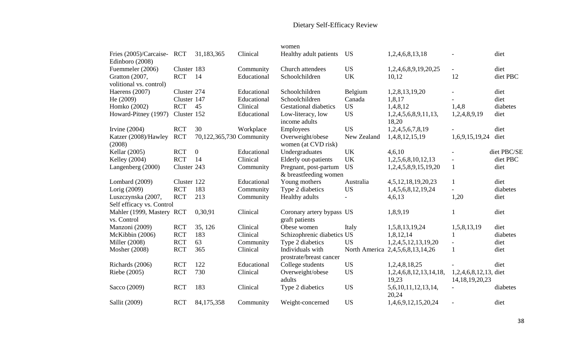# Dietary Self-Efficacy Review

|                                           |             |                          |             | women                                          |                          |                                  |                          |             |
|-------------------------------------------|-------------|--------------------------|-------------|------------------------------------------------|--------------------------|----------------------------------|--------------------------|-------------|
| Fries (2005)/Carcaise-<br>Edinboro (2008) | <b>RCT</b>  | 31,183,365               | Clinical    | Healthy adult patients                         | <b>US</b>                | 1,2,4,6,8,13,18                  |                          | diet        |
| Fuemmeler (2006)                          | Cluster 183 |                          | Community   | Church attendees                               | <b>US</b>                | 1,2,4,6,8,9,19,20,25             | $\equiv$                 | diet        |
| Gratton (2007,<br>volitional vs. control) | <b>RCT</b>  | 14                       | Educational | Schoolchildren                                 | <b>UK</b>                | 10,12                            | 12                       | diet PBC    |
| Haerens (2007)                            | Cluster 274 |                          | Educational | Schoolchildren                                 | Belgium                  | 1,2,8,13,19,20                   |                          | diet        |
| He (2009)                                 | Cluster 147 |                          | Educational | Schoolchildren                                 | Canada                   | 1,8,17                           |                          | diet        |
| Homko (2002)                              | <b>RCT</b>  | 45                       | Clinical    | <b>Gestational diabetics</b>                   | <b>US</b>                | 1,4,8,12                         | 1,4,8                    | diabetes    |
| Howard-Pitney (1997)                      | Cluster 152 |                          | Educational | Low-literacy, low<br>income adults             | <b>US</b>                | 1,2,4,5,6,8,9,11,13,<br>18,20    | 1,2,4,8,9,19             | diet        |
| Irvine $(2004)$                           | <b>RCT</b>  | 30                       | Workplace   | Employees                                      | <b>US</b>                | 1,2,4,5,6,7,8,19                 |                          | diet        |
| Katzer (2008)/Hawley<br>(2008)            | <b>RCT</b>  | 70,122,365,730 Community |             | Overweight/obese<br>women (at CVD risk)        | New Zealand              | 1,4,8,12,15,19                   | 1,6,9,15,19,24           | diet        |
| Kellar (2005)                             | <b>RCT</b>  | $\boldsymbol{0}$         | Educational | Undergraduates                                 | <b>UK</b>                | 4,6,10                           |                          | diet PBC/SE |
| Kelley (2004)                             | <b>RCT</b>  | 14                       | Clinical    | Elderly out-patients                           | <b>UK</b>                | 1,2,5,6,8,10,12,13               |                          | diet PBC    |
| Langenberg (2000)                         | Cluster 243 |                          | Community   | Pregnant, post-partum<br>& breastfeeding women | <b>US</b>                | 1,2,4,5,8,9,15,19,20             | $\mathbf{1}$             | diet        |
| Lombard (2009)                            | Cluster 122 |                          | Educational | Young mothers                                  | Australia                | 4, 5, 12, 18, 19, 20, 23         | $\mathbf{1}$             | diet        |
| Lorig (2009)                              | <b>RCT</b>  | 183                      | Community   | Type 2 diabetics                               | <b>US</b>                | 1,4,5,6,8,12,19,24               | $\blacksquare$           | diabetes    |
| Luszczynska (2007,                        | <b>RCT</b>  | 213                      | Community   | Healthy adults                                 | $\overline{\phantom{a}}$ | 4,6,13                           | 1,20                     | diet        |
| Self efficacy vs. Control                 |             |                          |             |                                                |                          |                                  |                          |             |
| Mahler (1999, Mastery RCT                 |             | 0,30,91                  | Clinical    | Coronary artery bypass US                      |                          | 1,8,9,19                         | $\mathbf{1}$             | diet        |
| vs. Control                               |             |                          |             | graft patients                                 |                          |                                  |                          |             |
| Manzoni (2009)                            | <b>RCT</b>  | 35, 126                  | Clinical    | Obese women                                    | Italy                    | 1,5,8,13,19,24                   | 1,5,8,13,19              | diet        |
| McKibbin (2006)                           | <b>RCT</b>  | 183                      | Clinical    | Schizophrenic diabetics US                     |                          | 1,8,12,14                        |                          | diabetes    |
| <b>Miller</b> (2008)                      | <b>RCT</b>  | 63                       | Community   | Type 2 diabetics                               | <b>US</b>                | 1,2,4,5,12,13,19,20              | $\overline{\phantom{a}}$ | diet        |
| Mosher (2008)                             | <b>RCT</b>  | 365                      | Clinical    | Individuals with                               |                          | North America 2,4,5,6,8,13,14,26 | $\mathbf{1}$             | diet        |
|                                           |             |                          |             | prostrate/breast cancer                        |                          |                                  |                          |             |
| Richards (2006)                           | <b>RCT</b>  | 122                      | Educational | College students                               | <b>US</b>                | 1,2,4,8,18,25                    |                          | diet        |
| Riebe (2005)                              | <b>RCT</b>  | 730                      | Clinical    | Overweight/obese                               | <b>US</b>                | 1,2,4,6,8,12,13,14,18,           | 1,2,4,6,8,12,13, diet    |             |
|                                           |             |                          |             | adults                                         |                          | 19,23                            | 14, 18, 19, 20, 23       |             |
| Sacco (2009)                              | <b>RCT</b>  | 183                      | Clinical    | Type 2 diabetics                               | <b>US</b>                | 5,6,10,11,12,13,14,<br>20,24     |                          | diabetes    |
| Sallit (2009)                             | <b>RCT</b>  | 84,175,358               | Community   | Weight-concerned                               | <b>US</b>                | 1,4,6,9,12,15,20,24              |                          | diet        |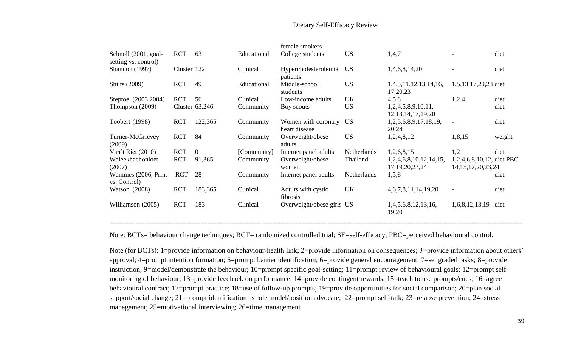## Dietary Self-Efficacy Review

|                                              |             |                |             | female smokers                       |             |                                              |                                                     |        |
|----------------------------------------------|-------------|----------------|-------------|--------------------------------------|-------------|----------------------------------------------|-----------------------------------------------------|--------|
| Schnoll (2001, goal-<br>setting vs. control) | <b>RCT</b>  | 63             | Educational | College students                     | <b>US</b>   | 1,4,7                                        |                                                     | diet   |
| <b>Shannon</b> (1997)                        | Cluster 122 |                | Clinical    | Hypercholesterolemia<br>patients     | <b>US</b>   | 1,4,6,8,14,20                                |                                                     | diet   |
| <b>Shilts</b> (2009)                         | <b>RCT</b>  | 49             | Educational | Middle-school<br>students            | <b>US</b>   | 1,4,5,11,12,13,14,16,<br>17,20,23            | 1,5,13,17,20,23 diet                                |        |
| Steptoe (2003,2004)                          | <b>RCT</b>  | 56             | Clinical    | Low-income adults                    | UK          | 4,5,8                                        | 1,2,4                                               | diet   |
| Thompson (2009)                              |             | Cluster 63,246 | Community   | Boy scouts                           | <b>US</b>   | 1,2,4,5,8,9,10,11,<br>12, 13, 14, 17, 19, 20 | $\overline{\phantom{a}}$                            | diet   |
| Toobert (1998)                               | <b>RCT</b>  | 122,365        | Community   | Women with coronary<br>heart disease | <b>US</b>   | 1,2,5,6,8,9,17,18,19,<br>20,24               | $\overline{\phantom{a}}$                            | diet   |
| Turner-McGrievey<br>(2009)                   | <b>RCT</b>  | 84             | Community   | Overweight/obese<br>adults           | <b>US</b>   | 1,2,4,8,12                                   | 1,8,15                                              | weight |
| Van't Riet (2010)                            | <b>RCT</b>  | $\overline{0}$ | [Community] | Internet panel adults                | Netherlands | 1,2,6,8,15                                   | 1,2                                                 | diet   |
| Waleekhachonloet<br>(2007)                   | <b>RCT</b>  | 91,365         | Community   | Overweight/obese<br>women            | Thailand    | 1,2,4,6,8,10,12,14,15,<br>17, 19, 20, 23, 24 | 1,2,4,6,8,10,12, diet PBC<br>14, 15, 17, 20, 23, 24 |        |
| Wammes (2006, Print<br>vs. Control)          | <b>RCT</b>  | 28             | Community   | Internet panel adults                | Netherlands | 1,5,8                                        |                                                     | diet   |
| Watson $(2008)$                              | <b>RCT</b>  | 183,365        | Clinical    | Adults with cystic<br>fibrosis       | UK          | 4, 6, 7, 8, 11, 14, 19, 20                   |                                                     | diet   |
| Williamson (2005)                            | <b>RCT</b>  | 183            | Clinical    | Overweight/obese girls US            |             | 1,4,5,6,8,12,13,16,<br>19,20                 | 1,6,8,12,13,19                                      | diet   |

Note: BCTs= behaviour change techniques; RCT= randomized controlled trial; SE=self-efficacy; PBC=perceived behavioural control.

Note (for BCTs): 1=provide information on behaviour-health link; 2=provide information on consequences; 3=provide information about others' approval; 4=prompt intention formation; 5=prompt barrier identification; 6=provide general encouragement; 7=set graded tasks; 8=provide instruction; 9=model/demonstrate the behaviour; 10=prompt specific goal-setting; 11=prompt review of behavioural goals; 12=prompt selfmonitoring of behaviour; 13=provide feedback on performance; 14=provide contingent rewards; 15=teach to use prompts/cues; 16=agree behavioural contract; 17=prompt practice; 18=use of follow-up prompts; 19=provide opportunities for social comparison; 20=plan social support/social change; 21=prompt identification as role model/position advocate; 22=prompt self-talk; 23=relapse prevention; 24=stress management; 25=motivational interviewing; 26=time management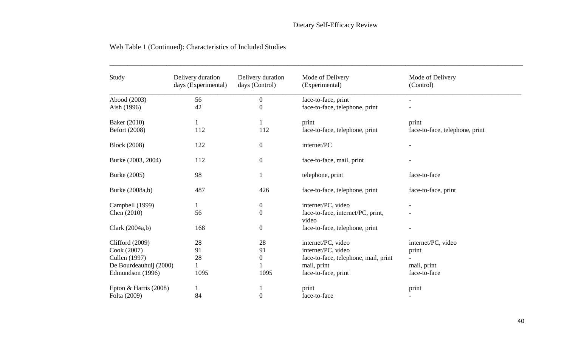\_\_\_\_\_\_\_\_\_\_\_\_\_\_\_\_\_\_\_\_\_\_\_\_\_\_\_\_\_\_\_\_\_\_\_\_\_\_\_\_\_\_\_\_\_\_\_\_\_\_\_\_\_\_\_\_\_\_\_\_\_\_\_\_\_\_\_\_\_\_\_\_\_\_\_\_\_\_\_\_\_\_\_\_\_\_\_\_\_\_\_\_\_\_\_\_\_\_\_\_\_\_\_\_\_\_\_\_\_\_\_\_\_\_\_\_

| Study                   | Delivery duration<br>days (Experimental) | Delivery duration<br>days (Control) | Mode of Delivery<br>(Experimental)         | Mode of Delivery<br>(Control)  |
|-------------------------|------------------------------------------|-------------------------------------|--------------------------------------------|--------------------------------|
| Abood (2003)            | 56                                       | $\overline{0}$                      | face-to-face, print                        | $\blacksquare$                 |
| Aish (1996)             | 42                                       | $\theta$                            | face-to-face, telephone, print             |                                |
| Baker (2010)            | $\mathbf{1}$                             |                                     | print                                      | print                          |
| Befort (2008)           | 112                                      | 112                                 | face-to-face, telephone, print             | face-to-face, telephone, print |
| <b>Block (2008)</b>     | 122                                      | $\overline{0}$                      | internet/PC                                |                                |
| Burke (2003, 2004)      | 112                                      | $\boldsymbol{0}$                    | face-to-face, mail, print                  |                                |
| Burke (2005)            | 98                                       |                                     | telephone, print                           | face-to-face                   |
| Burke (2008a,b)         | 487                                      | 426                                 | face-to-face, telephone, print             | face-to-face, print            |
| Campbell (1999)         | 1                                        | $\mathbf{0}$                        | internet/PC, video                         |                                |
| Chen (2010)             | 56                                       | $\overline{0}$                      | face-to-face, internet/PC, print,<br>video |                                |
| Clark $(2004a,b)$       | 168                                      | $\mathbf{0}$                        | face-to-face, telephone, print             |                                |
| Clifford (2009)         | 28                                       | 28                                  | internet/PC, video                         | internet/PC, video             |
| Cook (2007)             | 91                                       | 91                                  | internet/PC, video                         | print                          |
| Cullen (1997)           | 28                                       | $\boldsymbol{0}$                    | face-to-face, telephone, mail, print       |                                |
| De Bourdeauhuij (2000)  | $\mathbf{1}$                             |                                     | mail, print                                | mail, print                    |
| Edmundson (1996)        | 1095                                     | 1095                                | face-to-face, print                        | face-to-face                   |
| Epton & Harris $(2008)$ |                                          |                                     | print                                      | print                          |
| Folta (2009)            | 84                                       | $\mathbf{0}$                        | face-to-face                               | $\blacksquare$                 |

## Web Table 1 (Continued): Characteristics of Included Studies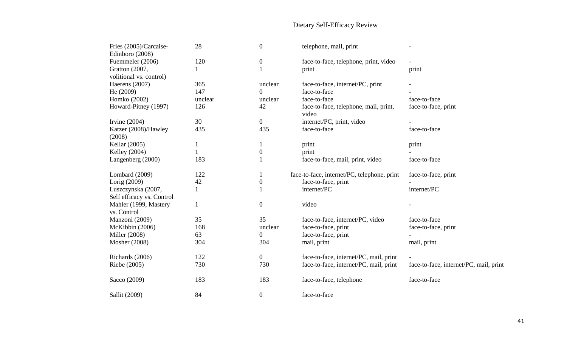# Dietary Self-Efficacy Review

| Fries (2005)/Carcaise-<br>Edinboro (2008) | 28      | $\mathbf{0}$     | telephone, mail, print                         | $\overline{\phantom{a}}$               |
|-------------------------------------------|---------|------------------|------------------------------------------------|----------------------------------------|
| Fuemmeler (2006)                          | 120     | $\overline{0}$   | face-to-face, telephone, print, video          |                                        |
| Gratton (2007,                            | 1       | 1                | print                                          | print                                  |
| volitional vs. control)                   |         |                  |                                                |                                        |
| Haerens (2007)                            | 365     | unclear          | face-to-face, internet/PC, print               |                                        |
| He $(2009)$                               | 147     | $\Omega$         | face-to-face                                   |                                        |
| Homko (2002)                              | unclear | unclear          | face-to-face                                   | face-to-face                           |
| Howard-Pitney (1997)                      | 126     | 42               | face-to-face, telephone, mail, print,<br>video | face-to-face, print                    |
| Irvine $(2004)$                           | 30      | $\overline{0}$   | internet/PC, print, video                      |                                        |
| Katzer (2008)/Hawley<br>(2008)            | 435     | 435              | face-to-face                                   | face-to-face                           |
| Kellar (2005)                             | 1       | $\mathbf{1}$     | print                                          | print                                  |
| Kelley (2004)                             | 1       | $\boldsymbol{0}$ | print                                          |                                        |
| Langenberg (2000)                         | 183     |                  | face-to-face, mail, print, video               | face-to-face                           |
| Lombard (2009)                            | 122     | $\mathbf 1$      | face-to-face, internet/PC, telephone, print    | face-to-face, print                    |
| Lorig (2009)                              | 42      | $\boldsymbol{0}$ | face-to-face, print                            |                                        |
| Luszczynska (2007,                        | 1       |                  | internet/PC                                    | internet/PC                            |
| Self efficacy vs. Control                 |         |                  |                                                |                                        |
| Mahler (1999, Mastery<br>vs. Control      | 1       | $\overline{0}$   | video                                          |                                        |
| Manzoni (2009)                            | 35      | 35               | face-to-face, internet/PC, video               | face-to-face                           |
| McKibbin (2006)                           | 168     | unclear          | face-to-face, print                            | face-to-face, print                    |
| <b>Miller</b> (2008)                      | 63      | $\overline{0}$   | face-to-face, print                            |                                        |
| Mosher (2008)                             | 304     | 304              | mail, print                                    | mail, print                            |
| Richards (2006)                           | 122     | $\overline{0}$   | face-to-face, internet/PC, mail, print         |                                        |
| Riebe (2005)                              | 730     | 730              | face-to-face, internet/PC, mail, print         | face-to-face, internet/PC, mail, print |
| Sacco (2009)                              | 183     | 183              | face-to-face, telephone                        | face-to-face                           |
| Sallit (2009)                             | 84      | $\overline{0}$   | face-to-face                                   |                                        |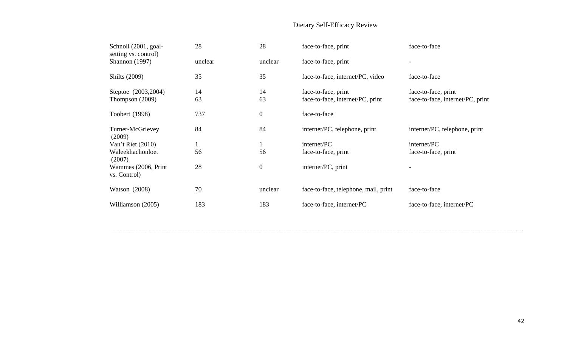# Dietary Self-Efficacy Review

| Schnoll (2001, goal-<br>setting vs. control) | 28      | 28               | face-to-face, print                  | face-to-face                     |
|----------------------------------------------|---------|------------------|--------------------------------------|----------------------------------|
| <b>Shannon</b> (1997)                        | unclear | unclear          | face-to-face, print                  | $\overline{\phantom{a}}$         |
| <b>Shilts</b> (2009)                         | 35      | 35               | face-to-face, internet/PC, video     | face-to-face                     |
| Steptoe (2003,2004)                          | 14      | 14               | face-to-face, print                  | face-to-face, print              |
| Thompson $(2009)$                            | 63      | 63               | face-to-face, internet/PC, print     | face-to-face, internet/PC, print |
| Toobert (1998)                               | 737     | $\boldsymbol{0}$ | face-to-face                         |                                  |
| Turner-McGrievey<br>(2009)                   | 84      | 84               | internet/PC, telephone, print        | internet/PC, telephone, print    |
| Van't Riet (2010)                            |         | $\mathbf 1$      | internet/PC                          | internet/PC                      |
| Waleekhachonloet<br>(2007)                   | 56      | 56               | face-to-face, print                  | face-to-face, print              |
| Wammes (2006, Print<br>vs. Control)          | 28      | $\boldsymbol{0}$ | internet/PC, print                   |                                  |
| Watson $(2008)$                              | 70      | unclear          | face-to-face, telephone, mail, print | face-to-face                     |
| Williamson (2005)                            | 183     | 183              | face-to-face, internet/PC            | face-to-face, internet/PC        |

\_\_\_\_\_\_\_\_\_\_\_\_\_\_\_\_\_\_\_\_\_\_\_\_\_\_\_\_\_\_\_\_\_\_\_\_\_\_\_\_\_\_\_\_\_\_\_\_\_\_\_\_\_\_\_\_\_\_\_\_\_\_\_\_\_\_\_\_\_\_\_\_\_\_\_\_\_\_\_\_\_\_\_\_\_\_\_\_\_\_\_\_\_\_\_\_\_\_\_\_\_\_\_\_\_\_\_\_\_\_\_\_\_\_\_\_\_\_\_\_\_\_\_\_\_\_\_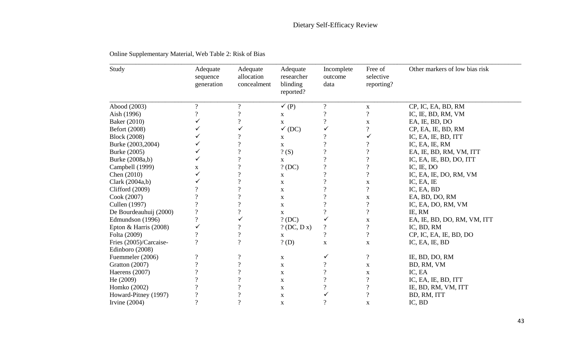| Study                   | Adequate<br>sequence<br>generation | Adequate<br>allocation<br>concealment | Adequate<br>researcher<br>blinding<br>reported? | Incomplete<br>outcome<br>data | Free of<br>selective<br>reporting? | Other markers of low bias risk |
|-------------------------|------------------------------------|---------------------------------------|-------------------------------------------------|-------------------------------|------------------------------------|--------------------------------|
| Abood (2003)            | $\overline{\mathcal{C}}$           | $\boldsymbol{v}$                      | $\checkmark$ (P)                                | $\overline{?}$                | X                                  | CP, IC, EA, BD, RM             |
| Aish (1996)             | $\overline{\mathcal{L}}$           | $\gamma$                              | $\mathbf X$                                     | $\gamma$                      | $\overline{\mathcal{L}}$           | IC, IE, BD, RM, VM             |
| Baker (2010)            | ✓                                  | $\overline{\mathcal{L}}$              | $\mathbf X$                                     | $\overline{?}$                | $\mathbf X$                        | EA, IE, BD, DO                 |
| Befort (2008)           | ✓                                  |                                       | $\checkmark$<br>(DC)                            | ✓                             | $\overline{\mathcal{L}}$           | CP, EA, IE, BD, RM             |
| <b>Block</b> (2008)     | ✓                                  |                                       | $\mathbf X$                                     | $\boldsymbol{?}$              | ✓                                  | IC, EA, IE, BD, ITT            |
| Burke (2003,2004)       | ✓                                  | $\gamma$                              | $\mathbf X$                                     | $\gamma$                      | $\overline{\mathcal{L}}$           | IC, EA, IE, RM                 |
| Burke (2005)            | ✓                                  | $\boldsymbol{v}$                      | ? (S)                                           | $\overline{\mathcal{L}}$      | $\overline{\mathcal{L}}$           | EA, IE, BD, RM, VM, ITT        |
| Burke (2008a,b)         | ✓                                  | $\gamma$                              | $\mathbf X$                                     | $\gamma$                      | $\overline{?}$                     | IC, EA, IE, BD, DO, ITT        |
| Campbell (1999)         | X                                  | $\gamma$                              | ? (DC)                                          | $\gamma$                      | $\overline{\mathcal{L}}$           | IC, IE, DO                     |
| Chen (2010)             | ✓                                  | $\gamma$                              | $\mathbf X$                                     | $\gamma$                      | $\overline{?}$                     | IC, EA, IE, DO, RM, VM         |
| Clark (2004a,b)         |                                    | $\overline{\mathcal{L}}$              | $\mathbf X$                                     | $\overline{\mathcal{L}}$      | $\mathbf X$                        | IC, EA, IE                     |
| Clifford (2009)         |                                    | $\gamma$                              | $\mathbf X$                                     | $\gamma$                      | $\overline{\mathcal{L}}$           | IC, EA, BD                     |
| Cook (2007)             | 9                                  | $\gamma$                              | $\mathbf X$                                     | $\gamma$                      | $\mathbf X$                        | EA, BD, DO, RM                 |
| Cullen (1997)           | $\mathbf 2$                        | ?                                     | $\mathbf X$                                     | $\gamma$                      | $\overline{\mathcal{L}}$           | IC, EA, DO, RM, VM             |
| De Bourdeauhuij (2000)  | $\overline{\mathcal{C}}$           | $\overline{\mathcal{L}}$              | $\mathbf X$                                     | $\overline{?}$                | $\overline{?}$                     | IE, RM                         |
| Edmundson (1996)        | $\overline{\mathcal{C}}$           | ✓                                     | ? (DC)                                          | ✓                             | $\mathbf X$                        | EA, IE, BD, DO, RM, VM, ITT    |
| Epton & Harris $(2008)$ | ✓                                  | $\gamma$                              | $?$ (DC, D x)                                   | $\overline{\mathcal{L}}$      | $\overline{?}$                     | IC, BD, RM                     |
| Folta (2009)            | $\overline{?}$                     | $\overline{\mathcal{L}}$              | X                                               | $\overline{?}$                | $\overline{?}$                     | CP, IC, EA, IE, BD, DO         |
| Fries (2005)/Carcaise-  | ?                                  | $\gamma$                              | $?$ (D)                                         | $\mathbf X$                   | X                                  | IC, EA, IE, BD                 |
| Edinboro (2008)         |                                    |                                       |                                                 |                               |                                    |                                |
| Fuemmeler (2006)        | ?                                  | $\overline{\cdot}$                    | $\mathbf X$                                     | ✓                             | $\overline{\mathcal{L}}$           | IE, BD, DO, RM                 |
| Gratton (2007)          | $\Omega$                           | $\overline{?}$                        | $\mathbf X$                                     | $\overline{?}$                | X                                  | BD, RM, VM                     |
| Haerens (2007)          | 9                                  | $\gamma$                              | $\mathbf X$                                     | $\gamma$                      | $\mathbf X$                        | IC, EA                         |
| He (2009)               | 9                                  | $\gamma$                              | $\mathbf X$                                     | $\gamma$                      | $\overline{\mathcal{L}}$           | IC, EA, IE, BD, ITT            |
| Homko (2002)            | $\mathbf 0$                        | $\gamma$                              | $\mathbf X$                                     | $\overline{\mathcal{L}}$      | $\overline{?}$                     | IE, BD, RM, VM, ITT            |
| Howard-Pitney (1997)    | $\overline{\mathcal{L}}$           | $\overline{\mathcal{L}}$              | $\mathbf X$                                     |                               | $\overline{\mathcal{L}}$           | BD, RM, ITT                    |
| Irvine $(2004)$         | $\overline{\mathcal{L}}$           | $\overline{?}$                        | $\mathbf X$                                     | $\overline{?}$                | $\mathbf X$                        | IC, BD                         |

Online Supplementary Material, Web Table 2: Risk of Bias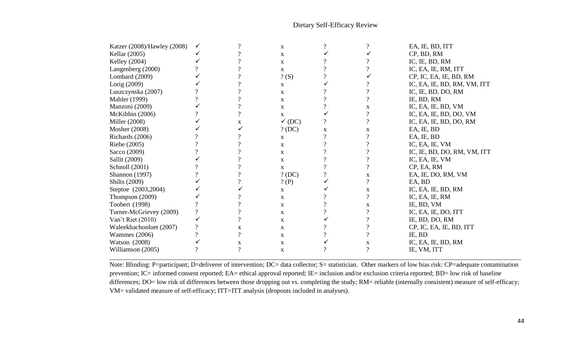## Dietary Self-Efficacy Review

| Katzer (2008)/Hawley (2008) |          | റ        | X                 |             |          | EA, IE, BD, ITT             |
|-----------------------------|----------|----------|-------------------|-------------|----------|-----------------------------|
| Kellar (2005)               |          |          | $\mathbf X$       |             |          | CP, BD, RM                  |
| Kelley (2004)               |          |          | X                 |             |          | IC, IE, BD, RM              |
| Langenberg (2000)           |          |          | X                 |             |          | IC, EA, IE, RM, ITT         |
| Lombard $(2009)$            |          |          | ? (S)             |             |          | CP, IC, EA, IE, BD, RM      |
| Lorig (2009)                |          |          | X                 |             |          | IC, EA, IE, BD, RM, VM, ITT |
| Luszczynska (2007)          |          |          | X                 |             |          | IC, IE, BD, DO, RM          |
| <b>Mahler</b> (1999)        |          |          | $\mathbf X$       |             |          | IE, BD, RM                  |
| Manzoni (2009)              |          |          | $\mathbf X$       |             | X        | IC, EA, IE, BD, VM          |
| McKibbin (2006)             |          |          | X                 |             |          | IC, EA, IE, BD, DO, VM      |
| <b>Miller</b> (2008)        |          | X        | $\checkmark$ (DC) | $\gamma$    | $\Omega$ | IC, EA, IE, BD, DO, RM      |
| Mosher (2008)               |          |          | ? (DC)            | $\mathbf X$ | x        | EA, IE, BD                  |
| Richards (2006)             |          |          | X                 |             |          | EA, IE, BD                  |
| Riebe (2005)                |          |          | $\mathbf X$       |             |          | IC, EA, IE, VM              |
| Sacco (2009)                |          |          | X                 |             |          | IC, IE, BD, DO, RM, VM, ITT |
| Sallit (2009)               |          |          | $\mathbf X$       |             |          | IC, EA, IE, VM              |
| Schnoll (2001)              |          |          | $\mathbf X$       |             | $\Omega$ | CP, EA, RM                  |
| Shannon (1997)              |          |          | ? (DC)            |             | X        | EA, IE, DO, RM, VM          |
| <b>Shilts (2009)</b>        |          |          | ? (P)             |             | $\gamma$ | EA, BD                      |
| Steptoe (2003,2004)         |          |          | X                 |             | X        | IC, EA, IE, BD, RM          |
| Thompson (2009)             |          |          | X                 |             | $\Omega$ | IC, EA, IE, RM              |
| Toobert (1998)              |          |          | $\mathbf X$       |             | X        | IE, BD, VM                  |
| Turner-McGrievey (2009)     | $\gamma$ |          | X                 |             |          | IC, EA, IE, DO, ITT         |
| Van't Riet (2010)           |          |          | X                 |             |          | IE, BD, DO, RM              |
| Waleekhachonloet (2007)     |          | X        | X                 |             |          | CP, IC, EA, IE, BD, ITT     |
| <b>Wammes</b> (2006)        |          | $\Omega$ | X                 |             |          | IE, BD                      |
| <b>Watson</b> (2008)        |          | X        | $\mathbf X$       |             | X        | IC, EA, IE, BD, RM          |
| Williamson (2005)           |          | $\gamma$ | $\mathbf X$       |             |          | IE, VM, ITT                 |
|                             |          |          |                   |             |          |                             |

Note: Blinding: P=participant; D=deliverer of intervention; DC= data collector; S= statistician. Other markers of low bias risk: CP=adequate contamination prevention; IC= informed consent reported; EA= ethical approval reported; IE= inclusion and/or exclusion criteria reported; BD= low risk of baseline differences; DO= low risk of differences between those dropping out vs. completing the study; RM= reliable (internally consistent) measure of self-efficacy; VM= validated measure of self-efficacy; ITT=ITT analysis (dropouts included in analyses).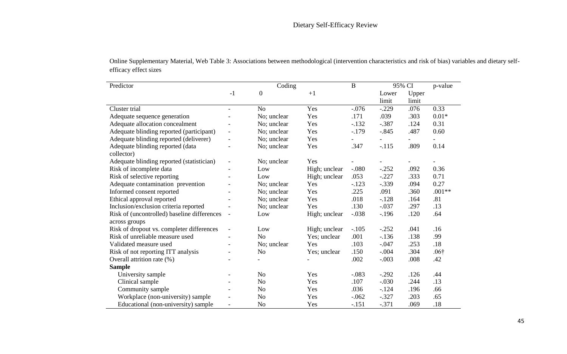| Predictor                                                    |                          | Coding           |               | $\mathbf B$ |                | 95% CI         |              |
|--------------------------------------------------------------|--------------------------|------------------|---------------|-------------|----------------|----------------|--------------|
|                                                              | $-1$                     | $\boldsymbol{0}$ | $+1$          |             | Lower<br>limit | Upper<br>limit |              |
| Cluster trial                                                | $\blacksquare$           | No               | Yes           | $-0.076$    | $-.229$        | .076           | 0.33         |
| Adequate sequence generation                                 |                          | No; unclear      | Yes           | .171        | .039           | .303           | $0.01*$      |
| Adequate allocation concealment                              | Ξ.                       | No; unclear      | Yes           | $-.132$     | $-.387$        | .124           | 0.31         |
| Adequate blinding reported (participant)                     | $\overline{\phantom{a}}$ | No; unclear      | Yes           | $-.179$     | $-.845$        | .487           | 0.60         |
| Adequate blinding reported (deliverer)                       | Ξ.                       | No; unclear      | Yes           |             |                |                |              |
| Adequate blinding reported (data<br>collector)               |                          | No; unclear      | Yes           | .347        | $-.115$        | .809           | 0.14         |
| Adequate blinding reported (statistician)                    | $\overline{\phantom{a}}$ | No; unclear      | Yes           |             |                |                |              |
| Risk of incomplete data                                      | $\overline{\phantom{a}}$ | Low              | High; unclear | $-.080$     | $-.252$        | .092           | 0.36         |
| Risk of selective reporting                                  |                          | Low              | High; unclear | .053        | $-.227$        | .333           | 0.71         |
| Adequate contamination prevention                            |                          | No; unclear      | Yes           | $-.123$     | $-.339$        | .094           | 0.27         |
| Informed consent reported                                    |                          | No; unclear      | Yes           | .225        | .091           | .360           | $.001**$     |
| Ethical approval reported                                    |                          | No; unclear      | Yes           | .018        | $-.128$        | .164           | .81          |
| Inclusion/exclusion criteria reported                        |                          | No; unclear      | Yes           | .130        | $-.037$        | .297           | .13          |
| Risk of (uncontrolled) baseline differences<br>across groups | $\overline{\phantom{a}}$ | Low              | High; unclear | $-.038$     | $-196$         | .120           | .64          |
| Risk of dropout vs. completer differences                    | $\overline{\phantom{a}}$ | Low              | High; unclear | $-.105$     | $-.252$        | .041           | .16          |
| Risk of unreliable measure used                              |                          | N <sub>o</sub>   | Yes; unclear  | .001        | $-136$         | .138           | .99          |
| Validated measure used                                       |                          | No; unclear      | Yes           | .103        | $-.047$        | .253           | .18          |
| Risk of not reporting ITT analysis                           | -                        | N <sub>o</sub>   | Yes; unclear  | .150        | $-.004$        | .304           | $.06\dagger$ |
| Overall attrition rate (%)                                   |                          |                  |               | .002        | $-.003$        | .008           | .42          |
| <b>Sample</b>                                                |                          |                  |               |             |                |                |              |
| University sample                                            |                          | N <sub>o</sub>   | Yes           | $-.083$     | $-.292$        | .126           | .44          |
| Clinical sample                                              | $\overline{\phantom{a}}$ | N <sub>o</sub>   | Yes           | .107        | $-.030$        | .244           | .13          |
| Community sample                                             |                          | N <sub>o</sub>   | Yes           | .036        | $-.124$        | .196           | .66          |
| Workplace (non-university) sample                            |                          | N <sub>0</sub>   | Yes           | $-.062$     | $-.327$        | .203           | .65          |
| Educational (non-university) sample                          | $\overline{a}$           | N <sub>o</sub>   | Yes           | $-.151$     | $-.371$        | .069           | .18          |

 $\overline{a}$ 

 $\overline{a}$ 

Online Supplementary Material, Web Table 3: Associations between methodological (intervention characteristics and risk of bias) variables and dietary selfefficacy effect sizes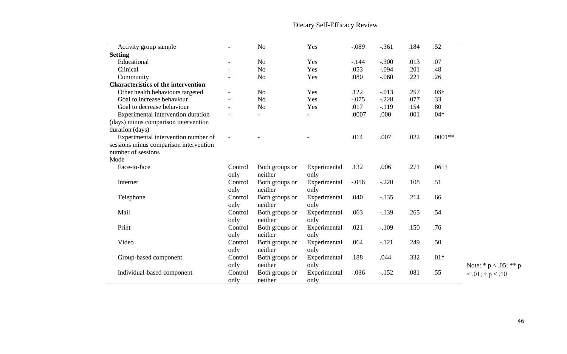Note:  $* p < .05; ** p$  $< 0.01$ ; † p  $< 0.10$ Activity group sample - No Yes -.089 -.361 .184 .52 **Setting**<br> **Educational**  Educational - No Yes -.144 -.300 .013 .07 Clinical - No Yes .053 -.094 .201 .48 Community - No Yes .080 -.060 .221 .26 **Characteristics of the intervention**  Other health behaviours targeted - No Yes .122 -.013 .257 .08†<br>
Goal to increase behaviour - No Yes -.075 -.228 .077 .33 Goal to increase behaviour - No Yes -.075 -.228 .077 .33<br>
Goal to decrease behaviour - No Yes .017 -.119 .154 .80 Goal to decrease behaviour - No Yes .017 -.119 .154 .80<br>Experimental intervention duration - - - - .0007 .000 .001 .04\* Experimental intervention duration (days) minus comparison intervention duration (days) - - - .0007 .000 .001 .04\* Experimental intervention number of sessions minus comparison intervention number of sessions - - - - - 014 .007 .022 .0001<sup>\*\*</sup> Mode Face-to-face Control only Both groups or neither Experimental only .132 .006 .271 .061† Internet Control only Both groups or neither Experimental only -.056 -.220 .108 .51 Telephone Control only Both groups or neither Experimental only .040 -.135 .214 .66 Mail Control only Both groups or neither Experimental only .063 -.139 .265 .54 Print Control only Both groups or neither Experimental only .021 -.109 .150 .76 Video Control only Both groups or neither Experimental only .064 -.121 .249 .50 Group-based component Control only Both groups or neither Experimental only .188 .044 .332 .01\* Individual-based component Control only Both groups or neither Experimental only -.036 -.152 .081 .55

## Dietary Self-Efficacy Review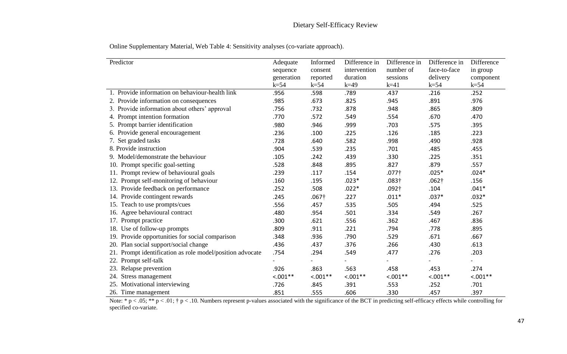Online Supplementary Material, Web Table 4: Sensitivity analyses (co-variate approach).

| Predictor                                                 | Adequate   | Informed      | Difference in | Difference in     | Difference in | Difference |
|-----------------------------------------------------------|------------|---------------|---------------|-------------------|---------------|------------|
|                                                           | sequence   | consent       | intervention  | number of         | face-to-face  | in group   |
|                                                           | generation | reported      | duration      | sessions          | delivery      | component  |
|                                                           | $k=54$     | $k=54$        | $k=49$        | $k=41$            | $k=54$        | $k=54$     |
| 1. Provide information on behaviour-health link           | .956       | .598          | .789          | .437              | .216          | .252       |
| 2. Provide information on consequences                    | .985       | .673          | .825          | .945              | .891          | .976       |
| 3. Provide information about others' approval             | .756       | .732          | .878          | .948              | .865          | .809       |
| 4. Prompt intention formation                             | .770       | .572          | .549          | .554              | .670          | .470       |
| 5. Prompt barrier identification                          | .980       | .946          | .999          | .703              | .575          | .395       |
| 6. Provide general encouragement                          | .236       | .100          | .225          | .126              | .185          | .223       |
| 7. Set graded tasks                                       | .728       | .640          | .582          | .998              | .490          | .928       |
| 8. Provide instruction                                    | .904       | .539          | .235          | .701              | .485          | .455       |
| 9. Model/demonstrate the behaviour                        | .105       | .242          | .439          | .330              | .225          | .351       |
| 10. Prompt specific goal-setting                          | .528       | .848          | .895          | .827              | .879          | .557       |
| 11. Prompt review of behavioural goals                    | .239       | .117          | .154          | .077 <sup>†</sup> | $.025*$       | $.024*$    |
| 12. Prompt self-monitoring of behaviour                   | .160       | .195          | $.023*$       | $.083\dagger$     | $.062\dagger$ | .156       |
| 13. Provide feedback on performance                       | .252       | .508          | $.022*$       | .092 <sup>†</sup> | .104          | $.041*$    |
| 14. Provide contingent rewards                            | .245       | $.067\dagger$ | .227          | $.011*$           | $.037*$       | $.032*$    |
| 15. Teach to use prompts/cues                             | .556       | .457          | .535          | .505              | .494          | .525       |
| 16. Agree behavioural contract                            | .480       | .954          | .501          | .334              | .549          | .267       |
| 17. Prompt practice                                       | .300       | .621          | .556          | .362              | .467          | .836       |
| 18. Use of follow-up prompts                              | .809       | .911          | .221          | .794              | .778          | .895       |
| 19. Provide opportunities for social comparison           | .348       | .936          | .790          | .529              | .671          | .667       |
| 20. Plan social support/social change                     | .436       | .437          | .376          | .266              | .430          | .613       |
| 21. Prompt identification as role model/position advocate | .754       | .294          | .549          | .477              | .276          | .203       |
| 22. Prompt self-talk                                      |            |               |               |                   |               |            |
| 23. Relapse prevention                                    | .926       | .863          | .563          | .458              | .453          | .274       |
| 24. Stress management                                     | $< .001**$ | $< 0.01**$    | $< .001**$    | $< .001**$        | $< .001**$    | $< 0.01**$ |
| 25. Motivational interviewing                             | .726       | .845          | .391          | .553              | .252          | .701       |
| 26. Time management                                       | .851       | .555          | .606          | .330              | .457          | .397       |

Note:  $* p < .05$ ;  $** p < .01$ ;  $\dagger p < .10$ . Numbers represent p-values associated with the significance of the BCT in predicting self-efficacy effects while controlling for specified co-variate.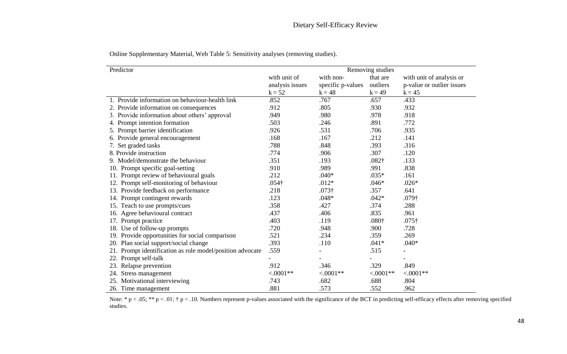| Predictor                                                    | Removing studies |                   |                   |                           |  |  |  |
|--------------------------------------------------------------|------------------|-------------------|-------------------|---------------------------|--|--|--|
|                                                              | with unit of     | with non-         | that are          | with unit of analysis or  |  |  |  |
|                                                              | analysis issues  | specific p-values | outliers          | p-value or outlier issues |  |  |  |
|                                                              | $k = 52$         | $k = 48$          | $k = 49$          | $k = 45$                  |  |  |  |
| 1. Provide information on behaviour-health link              | .852             | .767              | .657              | .433                      |  |  |  |
| 2. Provide information on consequences                       | .912             | .805              | .930              | .932                      |  |  |  |
| 3. Provide information about others' approval                | .949             | .980              | .978              | .918                      |  |  |  |
| 4. Prompt intention formation                                | .503             | .246              | .891              | .772                      |  |  |  |
| 5. Prompt barrier identification                             | .926             | .531              | .706              | .935                      |  |  |  |
| 6. Provide general encouragement                             | .168             | .167              | .212              | .141                      |  |  |  |
| 7. Set graded tasks                                          | .788             | .848              | .393              | .316                      |  |  |  |
| 8. Provide instruction                                       | .774             | .906              | .307              | .120                      |  |  |  |
| 9. Model/demonstrate the behaviour                           | .351             | .193              | $.082\dagger$     | .133                      |  |  |  |
| 10. Prompt specific goal-setting                             | .910             | .989              | .991              | .838                      |  |  |  |
| 11. Prompt review of behavioural goals                       | .212             | $.040*$           | $.035*$           | .161                      |  |  |  |
| Prompt self-monitoring of behaviour                          | $.054\dagger$    | $.012*$           | $.046*$           | $.026*$                   |  |  |  |
| 13. Provide feedback on performance                          | .218             | $.073\dagger$     | .357              | .641                      |  |  |  |
| Prompt contingent rewards<br>14.                             | .123             | $.048*$           | $.042*$           | $.079\dagger$             |  |  |  |
| 15. Teach to use prompts/cues                                | .358             | .427              | .374              | .288                      |  |  |  |
| 16. Agree behavioural contract                               | .437             | .406              | .835              | .961                      |  |  |  |
| 17. Prompt practice                                          | .403             | .119              | .080 <sup>†</sup> | $.075\dagger$             |  |  |  |
| Use of follow-up prompts<br>18.                              | .720             | .948              | .900              | .728                      |  |  |  |
| 19. Provide opportunities for social comparison              | .521             | .234              | .359              | .269                      |  |  |  |
| 20. Plan social support/social change                        | .393             | .110              | $.041*$           | $.040*$                   |  |  |  |
| Prompt identification as role model/position advocate<br>21. | .559             |                   | .515              |                           |  |  |  |
| Prompt self-talk                                             |                  |                   |                   |                           |  |  |  |
| 23. Relapse prevention                                       | .912             | .346              | .329              | .849                      |  |  |  |
| Stress management<br>24.                                     | $< .0001**$      | $< .0001**$       | $< .0001**$       | $< .0001**$               |  |  |  |
| 25. Motivational interviewing                                | .743             | .682              | .688              | .804                      |  |  |  |
| 26. Time management                                          | .881             | .573              | .552              | .962                      |  |  |  |

Online Supplementary Material, Web Table 5: Sensitivity analyses (removing studies).

Note: \*  $p < .05$ ; \*\*  $p < .01$ ; †  $p < .10$ . Numbers represent p-values associated with the significance of the BCT in predicting self-efficacy effects after removing specified studies.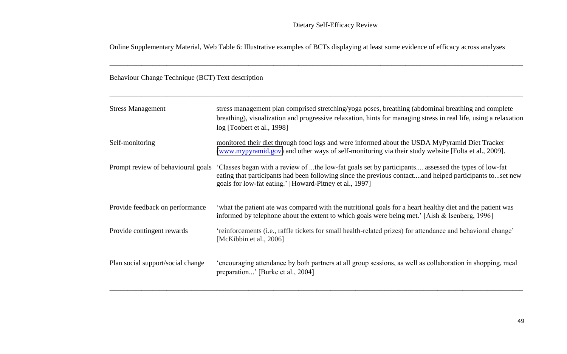Online Supplementary Material, Web Table 6: Illustrative examples of BCTs displaying at least some evidence of efficacy across analyses

\_\_\_\_\_\_\_\_\_\_\_\_\_\_\_\_\_\_\_\_\_\_\_\_\_\_\_\_\_\_\_\_\_\_\_\_\_\_\_\_\_\_\_\_\_\_\_\_\_\_\_\_\_\_\_\_\_\_\_\_\_\_\_\_\_\_\_\_\_\_\_\_\_\_\_\_\_\_\_\_\_\_\_\_\_\_\_\_\_\_\_\_\_\_\_\_\_\_\_\_\_\_\_\_\_\_\_\_\_\_\_\_\_\_\_\_

\_\_\_\_\_\_\_\_\_\_\_\_\_\_\_\_\_\_\_\_\_\_\_\_\_\_\_\_\_\_\_\_\_\_\_\_\_\_\_\_\_\_\_\_\_\_\_\_\_\_\_\_\_\_\_\_\_\_\_\_\_\_\_\_\_\_\_\_\_\_\_\_\_\_\_\_\_\_\_\_\_\_\_\_\_\_\_\_\_\_\_\_\_\_\_\_\_\_\_\_\_\_\_\_\_\_\_\_\_\_\_\_\_\_\_\_

Behaviour Change Technique (BCT) Text description

| <b>Stress Management</b>          | stress management plan comprised stretching/yoga poses, breathing (abdominal breathing and complete<br>breathing), visualization and progressive relaxation, hints for managing stress in real life, using a relaxation<br>log [Toobert et al., 1998]                                                        |
|-----------------------------------|--------------------------------------------------------------------------------------------------------------------------------------------------------------------------------------------------------------------------------------------------------------------------------------------------------------|
| Self-monitoring                   | monitored their diet through food logs and were informed about the USDA MyPyramid Diet Tracker<br>(www.mypyramid.gov) and other ways of self-monitoring via their study website [Folta et al., 2009].                                                                                                        |
|                                   | Prompt review of behavioural goals 'Classes began with a review of the low-fat goals set by participants assessed the types of low-fat<br>eating that participants had been following since the previous contactand helped participants toset new<br>goals for low-fat eating.' [Howard-Pitney et al., 1997] |
| Provide feedback on performance   | 'what the patient ate was compared with the nutritional goals for a heart healthy diet and the patient was<br>informed by telephone about the extent to which goals were being met.' [Aish $&$ Isenberg, 1996]                                                                                               |
| Provide contingent rewards        | 'reinforcements (i.e., raffle tickets for small health-related prizes) for attendance and behavioral change'<br>[McKibbin et al., 2006]                                                                                                                                                                      |
| Plan social support/social change | 'encouraging attendance by both partners at all group sessions, as well as collaboration in shopping, meal<br>preparation' [Burke et al., 2004]                                                                                                                                                              |

\_\_\_\_\_\_\_\_\_\_\_\_\_\_\_\_\_\_\_\_\_\_\_\_\_\_\_\_\_\_\_\_\_\_\_\_\_\_\_\_\_\_\_\_\_\_\_\_\_\_\_\_\_\_\_\_\_\_\_\_\_\_\_\_\_\_\_\_\_\_\_\_\_\_\_\_\_\_\_\_\_\_\_\_\_\_\_\_\_\_\_\_\_\_\_\_\_\_\_\_\_\_\_\_\_\_\_\_\_\_\_\_\_\_\_\_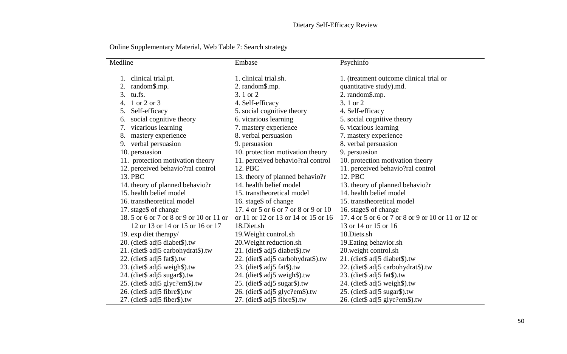| Medline                                 | Embase                              | Psychinfo                                          |
|-----------------------------------------|-------------------------------------|----------------------------------------------------|
| 1. clinical trial.pt.                   | 1. clinical trial.sh.               | 1. (treatment outcome clinical trial or            |
| 2. random\$.mp.                         | 2. random\$.mp.                     | quantitative study).md.                            |
| 3. tu.fs.                               | 3. 1 or 2                           | 2. random\$.mp.                                    |
| 4. 1 or 2 or 3                          |                                     | 3.1 or 2                                           |
|                                         | 4. Self-efficacy                    |                                                    |
| Self-efficacy<br>5.                     | 5. social cognitive theory          | 4. Self-efficacy                                   |
| social cognitive theory<br>6.           | 6. vicarious learning               | 5. social cognitive theory                         |
| vicarious learning<br>7.                | 7. mastery experience               | 6. vicarious learning                              |
| mastery experience<br>8.                | 8. verbal persuasion                | 7. mastery experience                              |
| 9. verbal persuasion                    | 9. persuasion                       | 8. verbal persuasion                               |
| 10. persuasion                          | 10. protection motivation theory    | 9. persuasion                                      |
| 11. protection motivation theory        | 11. perceived behavio?ral control   | 10. protection motivation theory                   |
| 12. perceived behavio?ral control       | 12. PBC                             | 11. perceived behavio?ral control                  |
| 13. PBC                                 | 13. theory of planned behavio?r     | 12. PBC                                            |
| 14. theory of planned behavio?r         | 14. health belief model             | 13. theory of planned behavio?r                    |
| 15. health belief model                 | 15. transtheoretical model          | 14. health belief model                            |
| 16. transtheoretical model              | 16. stage\$ of change               | 15. transtheoretical model                         |
| 17. stage\$ of change                   | 17.4 or 5 or 6 or 7 or 8 or 9 or 10 | 16. stage\$ of change                              |
| 18.5 or 6 or 7 or 8 or 9 or 10 or 11 or | or 11 or 12 or 13 or 14 or 15 or 16 | 17.4 or 5 or 6 or 7 or 8 or 9 or 10 or 11 or 12 or |
| 12 or 13 or 14 or 15 or 16 or 17        | 18.Diet.sh                          | 13 or 14 or 15 or 16                               |
| 19. exp diet therapy/                   | 19. Weight control.sh               | 18. Diets.sh                                       |
| 20. (diet\$ adj5 diabet\$).tw           | 20. Weight reduction.sh             | 19. Eating behavior.sh                             |
| 21. (diet\$ adj5 carbohydrat\$).tw      | 21. (diet\$ adj5 diabet\$).tw       | 20. weight control.sh                              |
| 22. (diet\$ adj5 fat\$).tw              | 22. (diet\$ adj5 carbohydrat\$).tw  | 21. (diet\$ adj5 diabet\$).tw                      |
| 23. (diet\$ adj5 weigh\$).tw            | 23. (diet\$ adj5 fat\$).tw          | 22. (diet\$ adj5 carbohydrat\$).tw                 |
| 24. (diet\$ adj5 sugar\$).tw            | 24. (diet\$ adj5 weigh\$).tw        | 23. (diet\$ adj5 fat\$).tw                         |
| 25. (diet\$ adj5 glyc?em\$).tw          | 25. (diet\$ adj5 sugar\$).tw        | 24. (diet\$ adj5 weigh\$).tw                       |
| 26. (diet\$ adj5 fibre\$).tw            | 26. (diet\$ adj5 glyc?em\$).tw      | 25. (diet\$ adj5 sugar\$).tw                       |
| 27. (diet\$ adj5 fiber\$).tw            | 27. (diet\$ adj5 fibre\$).tw        | 26. (diet\$ adj5 glyc?em\$).tw                     |

Online Supplementary Material, Web Table 7: Search strategy